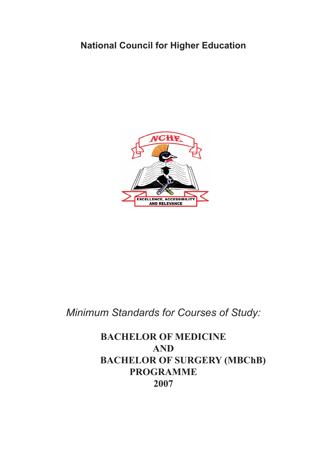# **National Council for Higher Education**



# *Minimum Standards for Courses of Study:*

**BACHELOR OF MEDICINE AND BACHELOR OF SURGERY (MBChB) PROGRAMME 2007**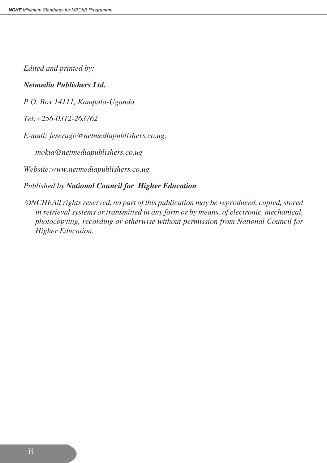*Edited and printed by:*

#### *Netmedia Publishers Ltd.*

*P.O. Box 14111, Kampala-Uganda*

*Tel:+256-0312-263762*

*E-mail: jeserugo@netmediapublishers.co.ug,*

*mokia@netmediapublishers.co.ug*

*Website:www.netmediapublishers.co.ug*

*Published by National Council for Higher Education*

 *©NCHEAll rights reserved. no part of this publication may be reproduced, copied, stored in retrieval systems or transmitted in any form or by means, of electronic, mechanical, photocopying, recording or otherwise without permission from National Council for Higher Education.*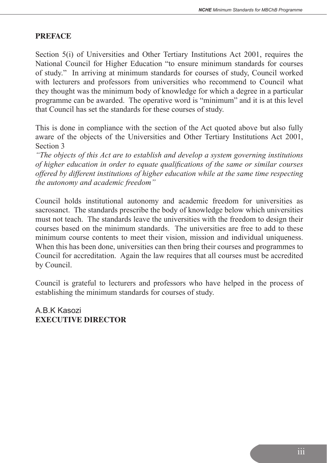#### **PREFACE**

 Section 5(i) of Universities and Other Tertiary Institutions Act 2001, requires the National Council for Higher Education "to ensure minimum standards for courses of study." In arriving at minimum standards for courses of study, Council worked with lecturers and professors from universities who recommend to Council what they thought was the minimum body of knowledge for which a degree in a particular programme can be awarded. The operative word is "minimum" and it is at this level that Council has set the standards for these courses of study.

 This is done in compliance with the section of the Act quoted above but also fully aware of the objects of the Universities and Other Tertiary Institutions Act 2001, Section 3

*"The objects of this Act are to establish and develop a system governing institutions of higher education in order to equate qualifications of the same or similar courses offered by different institutions of higher education while at the same time respecting the autonomy and academic freedom"*

 Council holds institutional autonomy and academic freedom for universities as sacrosanct. The standards prescribe the body of knowledge below which universities must not teach. The standards leave the universities with the freedom to design their courses based on the minimum standards. The universities are free to add to these minimum course contents to meet their vision, mission and individual uniqueness. When this has been done, universities can then bring their courses and programmes to Council for accreditation. Again the law requires that all courses must be accredited by Council.

 Council is grateful to lecturers and professors who have helped in the process of establishing the minimum standards for courses of study.

 A.B.K Kasozi  **EXECUTIVE DIRECTOR**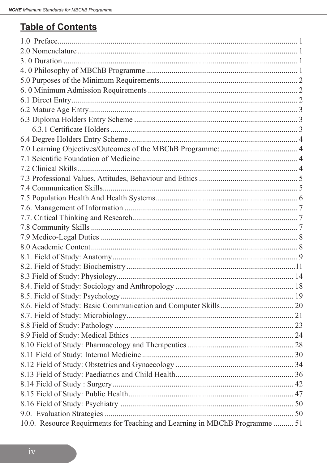# **Table of Contents**

| 10.0. Resource Requirments for Teaching and Learning in MBChB Programme  51 |  |
|-----------------------------------------------------------------------------|--|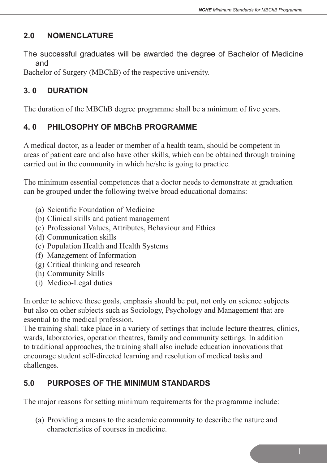# **2.0 NOMENCLATURE**

The successful graduates will be awarded the degree of Bachelor of Medicine and

Bachelor of Surgery (MBChB) of the respective university.

# **3. 0 DURATION**

The duration of the MBChB degree programme shall be a minimum of five years.

# **4. 0 PHILOSOPHY OF MBChB PROGRAMME**

A medical doctor, as a leader or member of a health team, should be competent in areas of patient care and also have other skills, which can be obtained through training carried out in the community in which he/she is going to practice.

The minimum essential competences that a doctor needs to demonstrate at graduation can be grouped under the following twelve broad educational domains:

- (a) Scientific Foundation of Medicine
- (b) Clinical skills and patient management
- (c) Professional Values, Attributes, Behaviour and Ethics
- (d) Communication skills
- (e) Population Health and Health Systems
- (f) Management of Information
- (g) Critical thinking and research
- (h) Community Skills
- (i) Medico-Legal duties

In order to achieve these goals, emphasis should be put, not only on science subjects but also on other subjects such as Sociology, Psychology and Management that are essential to the medical profession.

The training shall take place in a variety of settings that include lecture theatres, clinics, wards, laboratories, operation theatres, family and community settings. In addition to traditional approaches, the training shall also include education innovations that encourage student self-directed learning and resolution of medical tasks and challenges.

# **5.0 PURPOSES OF THE MINIMUM STANDARDS**

The major reasons for setting minimum requirements for the programme include:

 (a) Providing a means to the academic community to describe the nature and characteristics of courses in medicine.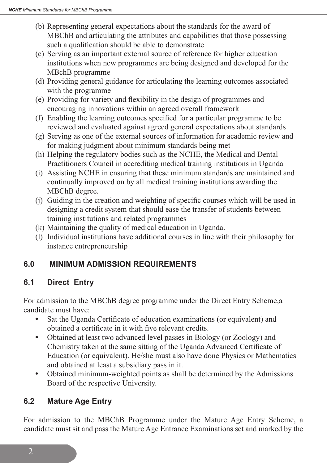- (b) Representing general expectations about the standards for the award of MBChB and articulating the attributes and capabilities that those possessing such a qualification should be able to demonstrate
- (c) Serving as an important external source of reference for higher education institutions when new programmes are being designed and developed for the MBchB programme
- (d) Providing general guidance for articulating the learning outcomes associated with the programme
- (e) Providing for variety and flexibility in the design of programmes and encouraging innovations within an agreed overall framework
- (f) Enabling the learning outcomes specified for a particular programme to be reviewed and evaluated against agreed general expectations about standards
- (g) Serving as one of the external sources of information for academic review and for making judgment about minimum standards being met
- (h) Helping the regulatory bodies such as the NCHE, the Medical and Dental Practitioners Council in accrediting medical training institutions in Uganda
- (i) Assisting NCHE in ensuring that these minimum standards are maintained and continually improved on by all medical training institutions awarding the MBChB degree.
- (j) Guiding in the creation and weighting of specific courses which will be used in designing a credit system that should ease the transfer of students between training institutions and related programmes
- (k) Maintaining the quality of medical education in Uganda.
- (l) Individual institutions have additional courses in line with their philosophy for instance entrepreneurship

# **6.0 MINIMUM ADMISSION REQUIREMENTS**

# **6.1 Direct Entry**

For admission to the MBChB degree programme under the Direct Entry Scheme,a candidate must have:

- **•** Sat the Uganda Certificate of education examinations (or equivalent) and obtained a certificate in it with five relevant credits.
- **•** Obtained at least two advanced level passes in Biology (or Zoology) and Chemistry taken at the same sitting of the Uganda Advanced Certificate of Education (or equivalent). He/she must also have done Physics or Mathematics and obtained at least a subsidiary pass in it.
- **•** Obtained minimum-weighted points as shall be determined by the Admissions Board of the respective University.

# **6.2 Mature Age Entry**

For admission to the MBChB Programme under the Mature Age Entry Scheme, a candidate must sit and pass the Mature Age Entrance Examinations set and marked by the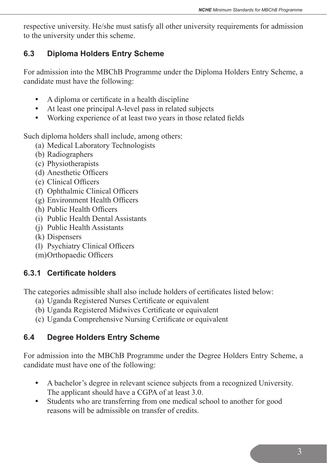respective university. He/she must satisfy all other university requirements for admission to the university under this scheme.

# **6.3 Diploma Holders Entry Scheme**

For admission into the MBChB Programme under the Diploma Holders Entry Scheme, a candidate must have the following:

- **•** A diploma or certificate in a health discipline
- **•** At least one principal A-level pass in related subjects
- **•** Working experience of at least two years in those related fields

Such diploma holders shall include, among others:

- (a) Medical Laboratory Technologists
- (b) Radiographers
- (c) Physiotherapists
- (d) Anesthetic Officers
- (e) Clinical Officers
- (f) Ophthalmic Clinical Officers
- (g) Environment Health Officers
- (h) Public Health Officers
- (i) Public Health Dental Assistants
- (j) Public Health Assistants
- (k) Dispensers
- (l) Psychiatry Clinical Officers
- (m)Orthopaedic Officers

# **6.3.1 Certificate holders**

The categories admissible shall also include holders of certificates listed below:

- (a) Uganda Registered Nurses Certificate or equivalent
- (b) Uganda Registered Midwives Certificate or equivalent
- (c) Uganda Comprehensive Nursing Certificate or equivalent

# **6.4 Degree Holders Entry Scheme**

For admission into the MBChB Programme under the Degree Holders Entry Scheme, a candidate must have one of the following:

- **•** A bachelor's degree in relevant science subjects from a recognized University. The applicant should have a CGPA of at least 3.0.
- **•** Students who are transferring from one medical school to another for good reasons will be admissible on transfer of credits.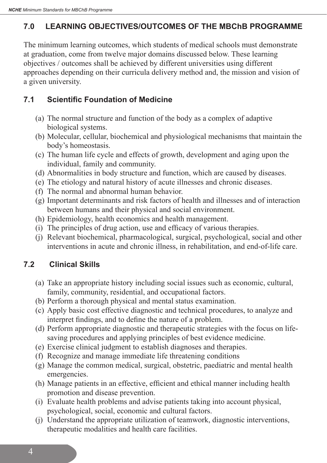# **7.0 LEARNING OBJECTIVES/OUTCOMES OF THE MBChB PROGRAMME**

The minimum learning outcomes, which students of medical schools must demonstrate at graduation, come from twelve major domains discussed below. These learning objectives / outcomes shall be achieved by different universities using different approaches depending on their curricula delivery method and, the mission and vision of a given university.

# **7.1 Scientific Foundation of Medicine**

- (a) The normal structure and function of the body as a complex of adaptive biological systems.
- (b) Molecular, cellular, biochemical and physiological mechanisms that maintain the body's homeostasis.
- (c) The human life cycle and effects of growth, development and aging upon the individual, family and community.
- (d) Abnormalities in body structure and function, which are caused by diseases.
- (e) The etiology and natural history of acute illnesses and chronic diseases.
- (f) The normal and abnormal human behavior.
- (g) Important determinants and risk factors of health and illnesses and of interaction between humans and their physical and social environment.
- (h) Epidemiology, health economics and health management.
- (i) The principles of drug action, use and efficacy of various therapies.
- (j) Relevant biochemical, pharmacological, surgical, psychological, social and other interventions in acute and chronic illness, in rehabilitation, and end-of-life care.

# **7.2 Clinical Skills**

- (a) Take an appropriate history including social issues such as economic, cultural, family, community, residential, and occupational factors.
- (b) Perform a thorough physical and mental status examination.
- (c) Apply basic cost effective diagnostic and technical procedures, to analyze and interpret findings, and to define the nature of a problem.
- (d) Perform appropriate diagnostic and therapeutic strategies with the focus on life- saving procedures and applying principles of best evidence medicine.
- (e) Exercise clinical judgment to establish diagnoses and therapies.
- (f) Recognize and manage immediate life threatening conditions
- (g) Manage the common medical, surgical, obstetric, paediatric and mental health emergencies.
- (h) Manage patients in an effective, efficient and ethical manner including health promotion and disease prevention.
- (i) Evaluate health problems and advise patients taking into account physical, psychological, social, economic and cultural factors.
- (i) Understand the appropriate utilization of teamwork, diagnostic interventions, therapeutic modalities and health care facilities.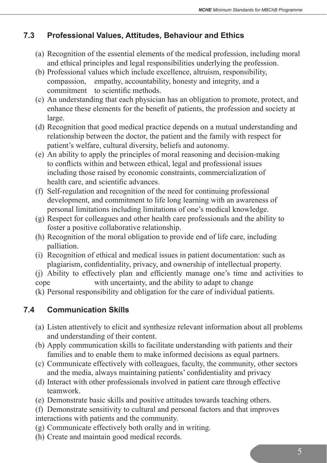# **7.3 Professional Values, Attitudes, Behaviour and Ethics**

- (a) Recognition of the essential elements of the medical profession, including moral and ethical principles and legal responsibilities underlying the profession.
- (b) Professional values which include excellence, altruism, responsibility, compassion, empathy, accountability, honesty and integrity, and a commitment to scientific methods.
- (c) An understanding that each physician has an obligation to promote, protect, and enhance these elements for the benefit of patients, the profession and society at large.
- (d) Recognition that good medical practice depends on a mutual understanding and relationship between the doctor, the patient and the family with respect for patient's welfare, cultural diversity, beliefs and autonomy.
- (e) An ability to apply the principles of moral reasoning and decision-making to conflicts within and between ethical, legal and professional issues including those raised by economic constraints, commercialization of health care, and scientific advances.
- (f) Self-regulation and recognition of the need for continuing professional development, and commitment to life long learning with an awareness of personal limitations including limitations of one's medical knowledge.
- $(g)$  Respect for colleagues and other health care professionals and the ability to foster a positive collaborative relationship.
- (h) Recognition of the moral obligation to provide end of life care, including palliation.
- (i) Recognition of ethical and medical issues in patient documentation: such as plagiarism, confidentiality, privacy, and ownership of intellectual property.
- (j) Ability to effectively plan and efficiently manage one's time and activities to cope with uncertainty, and the ability to adapt to change
- (k) Personal responsibility and obligation for the care of individual patients.

# **7.4 Communication Skills**

- (a) Listen attentively to elicit and synthesize relevant information about all problems and understanding of their content.
- (b) Apply communication skills to facilitate understanding with patients and their families and to enable them to make informed decisions as equal partners.
- (c) Communicate effectively with colleagues, faculty, the community, other sectors and the media, always maintaining patients' confidentiality and privacy
- (d) Interact with other professionals involved in patient care through effective teamwork.
- (e) Demonstrate basic skills and positive attitudes towards teaching others.
- (f) Demonstrate sensitivity to cultural and personal factors and that improves interactions with patients and the community.
- (g) Communicate effectively both orally and in writing.
- (h) Create and maintain good medical records.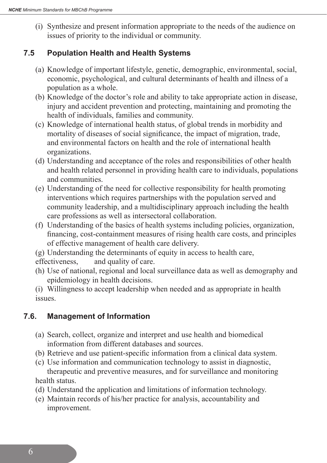(i) Synthesize and present information appropriate to the needs of the audience on issues of priority to the individual or community.

#### **7.5 Population Health and Health Systems**

- (a) Knowledge of important lifestyle, genetic, demographic, environmental, social, economic, psychological, and cultural determinants of health and illness of a population as a whole.
- (b) Knowledge of the doctor's role and ability to take appropriate action in disease, injury and accident prevention and protecting, maintaining and promoting the health of individuals, families and community.
- (c) Knowledge of international health status, of global trends in morbidity and mortality of diseases of social significance, the impact of migration, trade, and environmental factors on health and the role of international health organizations.
- (d) Understanding and acceptance of the roles and responsibilities of other health and health related personnel in providing health care to individuals, populations and communities.
- (e) Understanding of the need for collective responsibility for health promoting interventions which requires partnerships with the population served and community leadership, and a multidisciplinary approach including the health care professions as well as intersectoral collaboration.
- (f) Understanding of the basics of health systems including policies, organization, financing, cost-containment measures of rising health care costs, and principles of effective management of health care delivery.
- (g) Understanding the determinants of equity in access to health care,

effectiveness, and quality of care.

 (h) Use of national, regional and local surveillance data as well as demography and epidemiology in health decisions.

 (i) Willingness to accept leadership when needed and as appropriate in health issues.

# **7.6. Management of Information**

- (a) Search, collect, organize and interpret and use health and biomedical information from different databases and sources.
- (b) Retrieve and use patient-specific information from a clinical data system.
- (c) Use information and communication technology to assist in diagnostic, therapeutic and preventive measures, and for surveillance and monitoring health status.
- (d) Understand the application and limitations of information technology.
- (e) Maintain records of his/her practice for analysis, accountability and improvement.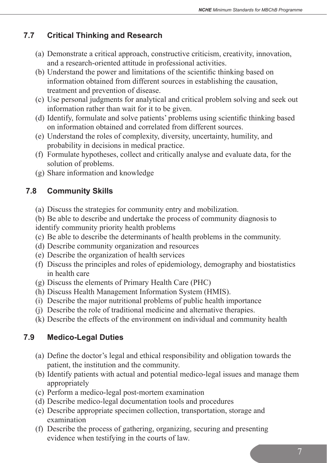# **7.7 Critical Thinking and Research**

- (a) Demonstrate a critical approach, constructive criticism, creativity, innovation, and a research-oriented attitude in professional activities.
- (b) Understand the power and limitations of the scientific thinking based on information obtained from different sources in establishing the causation, treatment and prevention of disease.
- (c) Use personal judgments for analytical and critical problem solving and seek out information rather than wait for it to be given.
- (d) Identify, formulate and solve patients' problems using scientific thinking based on information obtained and correlated from different sources.
- (e) Understand the roles of complexity, diversity, uncertainty, humility, and probability in decisions in medical practice.
- (f) Formulate hypotheses, collect and critically analyse and evaluate data, for the solution of problems.
- (g) Share information and knowledge

# **7.8 Community Skills**

- (a) Discuss the strategies for community entry and mobilization.
- (b) Be able to describe and undertake the process of community diagnosis to identify community priority health problems
- (c) Be able to describe the determinants of health problems in the community.
- (d) Describe community organization and resources
- (e) Describe the organization of health services
- (f) Discuss the principles and roles of epidemiology, demography and biostatistics in health care
- (g) Discuss the elements of Primary Health Care (PHC)
- (h) Discuss Health Management Information System (HMIS).
- (i) Describe the major nutritional problems of public health importance
- (j) Describe the role of traditional medicine and alternative therapies.
- (k) Describe the effects of the environment on individual and community health

# **7.9 Medico-Legal Duties**

- (a) Define the doctor's legal and ethical responsibility and obligation towards the patient, the institution and the community.
- (b) Identify patients with actual and potential medico-legal issues and manage them appropriately
- (c) Perform a medico-legal post-mortem examination
- (d) Describe medico-legal documentation tools and procedures
- (e) Describe appropriate specimen collection, transportation, storage and examination
- (f) Describe the process of gathering, organizing, securing and presenting evidence when testifying in the courts of law.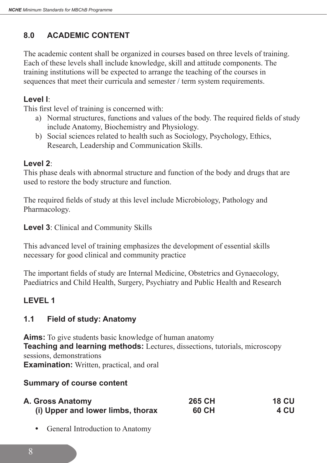# **8.0 ACADEMIC CONTENT**

The academic content shall be organized in courses based on three levels of training. Each of these levels shall include knowledge, skill and attitude components. The training institutions will be expected to arrange the teaching of the courses in sequences that meet their curricula and semester / term system requirements.

#### **Level I**:

This first level of training is concerned with:

- a) Normal structures, functions and values of the body. The required fields of study include Anatomy, Biochemistry and Physiology.
- b) Social sciences related to health such as Sociology, Psychology, Ethics, Research, Leadership and Communication Skills.

## **Level 2**:

This phase deals with abnormal structure and function of the body and drugs that are used to restore the body structure and function.

The required fields of study at this level include Microbiology, Pathology and Pharmacology.

**Level 3**: Clinical and Community Skills

This advanced level of training emphasizes the development of essential skills necessary for good clinical and community practice

The important fields of study are Internal Medicine, Obstetrics and Gynaecology, Paediatrics and Child Health, Surgery, Psychiatry and Public Health and Research

# **LEVEL 1**

# **1.1 Field of study: Anatomy**

**Aims:** To give students basic knowledge of human anatomy **Teaching and learning methods:** Lectures, dissections, tutorials, microscopy sessions, demonstrations **Examination:** Written, practical, and oral

#### **Summary of course content**

| A. Gross Anatomy                  | 265 CH | <b>18 CU</b> |
|-----------------------------------|--------|--------------|
| (i) Upper and lower limbs, thorax | 60 CH  | 4 CU         |

**•** General Introduction to Anatomy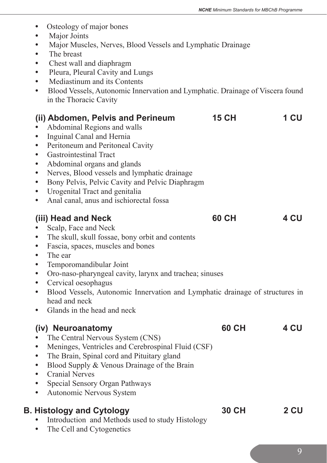- Osteology of major bones
- Major Joints
- Major Muscles, Nerves, Blood Vessels and Lymphatic Drainage
- The breast
- Chest wall and diaphragm
- Pleura, Pleural Cavity and Lungs
- Mediastinum and its Contents
- Blood Vessels, Autonomic Innervation and Lymphatic. Drainage of Viscera found in the Thoracic Cavity

| $\bullet$<br>$\bullet$<br>$\bullet$<br>$\bullet$<br>$\bullet$<br>$\bullet$<br>$\bullet$<br>$\bullet$ | (ii) Abdomen, Pelvis and Perineum<br>Abdominal Regions and walls<br>Inguinal Canal and Hernia<br>Peritoneum and Peritoneal Cavity<br><b>Gastrointestinal Tract</b><br>Abdominal organs and glands<br>Nerves, Blood vessels and lymphatic drainage<br>Bony Pelvis, Pelvic Cavity and Pelvic Diaphragm<br>Urogenital Tract and genitalia<br>Anal canal, anus and ischiorectal fossa            | <b>15 CH</b> | 1 CU |
|------------------------------------------------------------------------------------------------------|----------------------------------------------------------------------------------------------------------------------------------------------------------------------------------------------------------------------------------------------------------------------------------------------------------------------------------------------------------------------------------------------|--------------|------|
| $\bullet$<br>$\bullet$<br>$\bullet$<br>$\bullet$<br>$\bullet$<br>$\bullet$<br>$\bullet$<br>$\bullet$ | (iii) Head and Neck<br>Scalp, Face and Neck<br>The skull, skull fossae, bony orbit and contents<br>Fascia, spaces, muscles and bones<br>The ear<br>Temporomandibular Joint<br>Oro-naso-pharyngeal cavity, larynx and trachea; sinuses<br>Cervical oesophagus<br>Blood Vessels, Autonomic Innervation and Lymphatic drainage of structures in<br>head and neck<br>Glands in the head and neck | 60 CH        | 4 CU |
| $\bullet$<br>$\bullet$<br>$\bullet$<br>$\bullet$<br>$\bullet$<br>$\bullet$                           | (iv) Neuroanatomy<br>The Central Nervous System (CNS)<br>Meninges, Ventricles and Cerebrospinal Fluid (CSF)<br>The Brain, Spinal cord and Pituitary gland<br>Blood Supply & Venous Drainage of the Brain<br><b>Cranial Nerves</b><br>Special Sensory Organ Pathways<br>Autonomic Nervous System                                                                                              | 60 CH        | 4 CU |
| $\bullet$                                                                                            | <b>B. Histology and Cytology</b><br>Introduction and Methods used to study Histology<br>The Cell and Cytogenetics                                                                                                                                                                                                                                                                            | <b>30 CH</b> | 2 CU |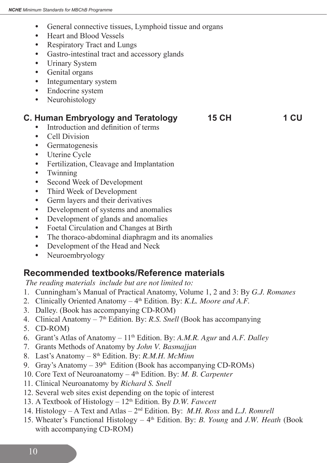- **•** General connective tissues, Lymphoid tissue and organs
- **•** Heart and Blood Vessels
- **•** Respiratory Tract and Lungs
- **•** Gastro-intestinal tract and accessory glands
- **•** Urinary System
- **•** Genital organs
- **•** Integumentary system
- **•** Endocrine system
- **•** Neurohistology

# **C. Human Embryology and Teratology 15 CH 1 CU**

- **•** Introduction and definition of terms
- **•** Cell Division
- **•** Germatogenesis
- **•** Uterine Cycle
- **•** Fertilization, Cleavage and Implantation
- **•** Twinning
- **•** Second Week of Development
- **•** Third Week of Development
- **•** Germ layers and their derivatives
- **•** Development of systems and anomalies
- **•** Development of glands and anomalies
- **•** Foetal Circulation and Changes at Birth
- The thoraco-abdominal diaphragm and its anomalies
- **•** Development of the Head and Neck
- **•** Neuroembryology

# **Recommended textbooks/Reference materials**

 *The reading materials include but are not limited to:*

- 1. Cunningham's Manual of Practical Anatomy, Volume 1, 2 and 3: By *G.J. Romanes*
- 2. Clinically Oriented Anatomy 4<sup>th</sup> Edition. By: *K.L. Moore and A.F.*
- 3. Dalley. (Book has accompanying CD-ROM)
- 4. Clinical Anatomy 7<sup>th</sup> Edition. By: *R.S. Snell* (Book has accompanying
- 5. CD-ROM)
- 6. Grant's Atlas of Anatomy 11th Edition. By: *A.M.R. Agur* and *A.F. Dalley*
- 7. Grants Methods of Anatomy by *John V. Basmajjan*
- 8. Last's Anatomy 8th Edition. By: *R.M.H. McMinn*
- 9. Gray's Anatomy  $39<sup>th</sup>$  Edition (Book has accompanying CD-ROMs)
- 10. Core Text of Neuroanatomy 4th Edition. By: *M. B. Carpenter*
- 11. Clinical Neuroanatomy by *Richard S. Snell*
- 12. Several web sites exist depending on the topic of interest
- 13. A Textbook of Histology 12th Edition. By *D.W. Fawcett*
- 14. Histology A Text and Atlas 2nd Edition. By: *M.H. Ross* and *L.J. Romrell*
- 15. Wheater's Functional Histology 4th Edition. By: *B. Young* and *J.W. Heath* (Book with accompanying CD-ROM)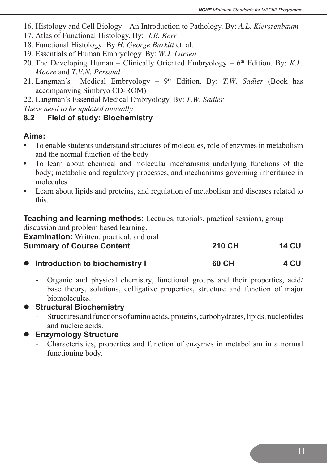- 16. Histology and Cell Biology An Introduction to Pathology. By: *A.L. Kierszenbaum*
- 17. Atlas of Functional Histology. By: *J.B. Kerr*
- 18. Functional Histology: By *H. George Burkitt* et. al.
- 19. Essentials of Human Embryology. By: *W.J. Larsen*
- 20. The Developing Human Clinically Oriented Embryology  $6<sup>th</sup>$  Edition. By: *K.L. Moore* and *T.V.N. Persaud*
- 21. Langman's Medical Embryology 9<sup>th</sup> Edition. By: *T.W. Sadler* (Book has accompanying Simbryo CD-ROM)
- 22. Langman's Essential Medical Embryology. By: *T.W. Sadler*

*These need to be updated annually*

#### **8.2 Field of study: Biochemistry**

#### **Aims:**

- **•** To enable students understand structures of molecules, role of enzymes in metabolism and the normal function of the body
- **•** To learn about chemical and molecular mechanisms underlying functions of the body; metabolic and regulatory processes, and mechanisms governing inheritance in molecules
- **•** Learn about lipids and proteins, and regulation of metabolism and diseases related to this.

**Teaching and learning methods:** Lectures, tutorials, practical sessions, group

discussion and problem based learning. **Examination:** Written, practical, and oral **Summary of Course Content 210 CH 210 CH 14 CU** 

| • Introduction to biochemistry I | <b>60 CH</b> | 4 CU |
|----------------------------------|--------------|------|

- Organic and physical chemistry, functional groups and their properties, acid/ base theory, solutions, colligative properties, structure and function of major biomolecules.

l **Structural Biochemistry** 

- Structures and functions of amino acids, proteins, carbohydrates, lipids, nucleotides and nucleic acids.

**Enzymology Structure** 

Characteristics, properties and function of enzymes in metabolism in a normal functioning body.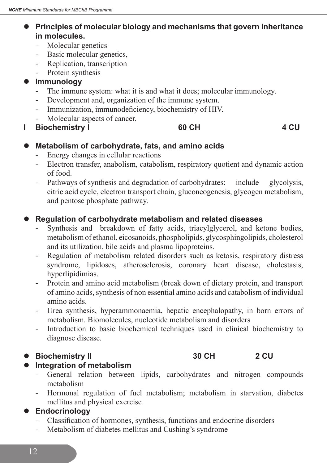- **Principles of molecular biology and mechanisms that govern inheritance in molecules.**
	- Molecular genetics
	- Basic molecular genetics,
	- Replication, transcription
	- Protein synthesis

## **Immunology**

- The immune system: what it is and what it does; molecular immunology.
- Development and, organization of the immune system.
- Immunization, immunodeficiency, biochemistry of HIV.
- Molecular aspects of cancer.
- **l Biochemistry I 60 CH 4 CU**

#### $\bullet$  Metabolism of carbohydrate, fats, and amino acids

- Energy changes in cellular reactions
- Electron transfer, anabolism, catabolism, respiratory quotient and dynamic action of food.
- Pathways of synthesis and degradation of carbohydrates: include glycolysis, citric acid cycle, electron transport chain, gluconeogenesis, glycogen metabolism, and pentose phosphate pathway.

## **Regulation of carbohydrate metabolism and related diseases**

- Synthesis and breakdown of fatty acids, triacylglycerol, and ketone bodies, metabolismof ethanol, eicosanoids, phospholipids, glycosphingolipids, cholesterol and its utilization, bile acids and plasma lipoproteins.
- Regulation of metabolism related disorders such as ketosis, respiratory distress syndrome, lipidoses, atherosclerosis, coronary heart disease, cholestasis, hyperlipidimias.
- Protein and amino acid metabolism (break down of dietary protein, and transport of amino acids, synthesis of non essential amino acids and catabolism of individual amino acids.
- Urea synthesis, hyperammonaemia, hepatic encephalopathy, in born errors of metabolism. Biomolecules, nucleotide metabolism and disorders
- Introduction to basic biochemical techniques used in clinical biochemistry to diagnose disease.

# **• Biochemistry II 30 CH 2 CU**

# $\bullet$  Integration of metabolism

- General relation between lipids, carbohydrates and nitrogen compounds metabolism
- Hormonal regulation of fuel metabolism; metabolism in starvation, diabetes mellitus and physical exercise

#### $\bullet$  Endocrinology

- Classification of hormones, synthesis, functions and endocrine disorders
- Metabolism of diabetes mellitus and Cushing's syndrome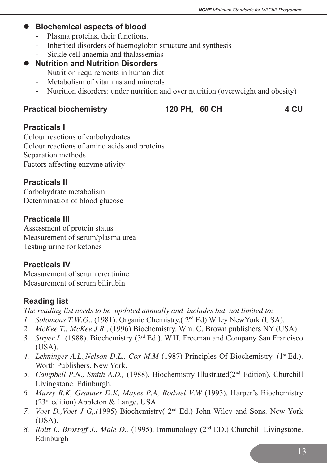#### **• Biochemical aspects of blood**

- Plasma proteins, their functions.
- Inherited disorders of haemoglobin structure and synthesis
- - Sickle cell anaemia and thalassemias

#### **Nutrition and Nutrition Disorders**

- Nutrition requirements in human diet
- Metabolism of vitamins and minerals
- Nutrition disorders: under nutrition and over nutrition (overweight and obesity)

## Practical biochemistry **120 PH, 60 CH** 4 CU

#### **Practicals I**

Colour reactions of carbohydrates Colour reactions of amino acids and proteins Separation methods Factors affecting enzyme ativity

#### **Practicals II**

Carbohydrate metabolism Determination of blood glucose

## **Practicals III**

Assessment of protein status Measurement of serum/plasma urea Testing urine for ketones

# **Practicals IV**

Measurement of serum creatinine Measurement of serum bilirubin

# **Reading list**

*The reading list needs to be updated annually and includes but not limited to:*

- *1. Solomons T.W.G*., (1981). Organic Chemistry.( 2nd Ed).Wiley NewYork (USA).
- *2. McKee T., McKee J R*., (1996) Biochemistry. Wm. C. Brown publishers NY (USA).
- *3. Stryer L*. (1988). Biochemistry (3rd Ed.). W.H. Freeman and Company San Francisco (USA).
- *4. Lehninger A.L.,Nelson D.L., Cox M.M* (1987) Principles Of Biochemistry. (1st Ed.). Worth Publishers. New York.
- *5. Campbell P.N., Smith A.D.,* (1988). Biochemistry Illustrated(2nd Edition). Churchill Livingstone. Edinburgh.
- *6. Murry R.K, Granner D.K, Mayes P.A, Rodwel V.W* (1993). Harper's Biochemistry  $(23<sup>rd</sup> edition) Apoleton & Lange. USA$
- *7. Voet D.,Voet J G,.(*1995) Biochemistry( 2nd Ed.) John Wiley and Sons. New York (USA).
- *8. Roitt I., Brostoff J., Male D.,* (1995). Immunology (2nd ED.) Churchill Livingstone. Edinburgh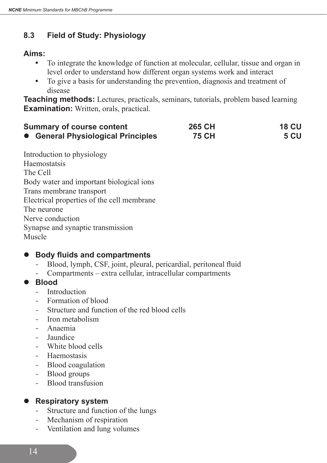# **8.3 Field of Study: Physiology**

## **Aims:**

- **•** To integrate the knowledge of function at molecular, cellular, tissue and organ in level order to understand how different organ systems work and interact
- **•** To give a basis for understanding the prevention, diagnosis and treatment of disease

**Teaching methods:** Lectures, practicals, seminars, tutorials, problem based learning **Examination:** Written, orals, practical.

| <b>Summary of course content</b>   | 265 CH       | <b>18 CU</b> |
|------------------------------------|--------------|--------------|
| • General Physiological Principles | <b>75 CH</b> | <b>5 CU</b>  |

Introduction to physiology Haemostatsis The Cell Body water and important biological ions Trans membrane transport Electrical properties of the cell membrane The neurone Nerve conduction Synapse and synaptic transmission Muscle

# l **Body fluids and compartments**

- Blood, lymph, CSF, joint, pleural, pericardial, peritoneal fluid
- Compartments extra cellular, intracellular compartments
- l **Blood** 
	- Introduction
	- Formation of blood
	- - Structure and function of the red blood cells
	- Iron metabolism
	- Anaemia
	- **Jaundice**
	- White blood cells
	- **Haemostasis**
	- Blood coagulation
	- Blood groups
	- Blood transfusion

# **•** Respiratory system

- Structure and function of the lungs
- Mechanism of respiration
- Ventilation and lung volumes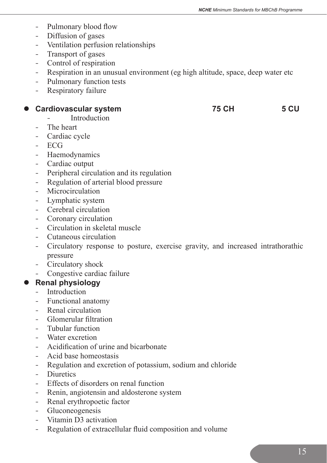- Pulmonary blood flow
- Diffusion of gases
- - Ventilation perfusion relationships
- Transport of gases
- Control of respiration
- Respiration in an unusual environment (eg high altitude, space, deep water etc
- Pulmonary function tests
- Respiratory failure

#### **• Cardiovascular system 75 CH 5 CU**

#### **Introduction**

- The heart
- Cardiac cycle
- - ECG
- Haemodynamics
- Cardiac output
- Peripheral circulation and its regulation
- Regulation of arterial blood pressure
- Microcirculation
- Lymphatic system
- Cerebral circulation
- Coronary circulation
- - Circulation in skeletal muscle
- - Cutaneous circulation
- Circulatory response to posture, exercise gravity, and increased intrathorathic pressure
- Circulatory shock
- Congestive cardiac failure

#### **Renal physiology**

- Introduction
- Functional anatomy
- Renal circulation
- Glomerular filtration
- Tubular function
- Water excretion
- - Acidification of urine and bicarbonate
- Acid base homeostasis
- Regulation and excretion of potassium, sodium and chloride
- Diuretics
- Effects of disorders on renal function
- Renin, angiotensin and aldosterone system
- Renal erythropoetic factor
- - Gluconeogenesis
- Vitamin D3 activation
- Regulation of extracellular fluid composition and volume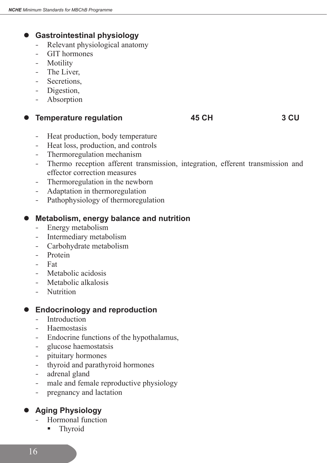# **Gastrointestinal physiology**

- Relevant physiological anatomy
- - GIT hormones
- **Motility**
- The Liver.
- Secretions.
- Digestion,
- Absorption

**Temperature regulation** 45 CH 3 CU

- Heat production, body temperature
- Heat loss, production, and controls
- Thermoregulation mechanism
- Thermo reception afferent transmission, integration, efferent transmission and effector correction measures
- Thermoregulation in the newborn
- Adaptation in thermoregulation
- Pathophysiology of thermoregulation

#### **Metabolism, energy balance and nutrition**

- Energy metabolism
- Intermediary metabolism
- Carbohydrate metabolism
- Protein
- - Fat
- Metabolic acidosis
- Metabolic alkalosis
- Nutrition

#### **Endocrinology and reproduction**

- Introduction
- Haemostasis
- Endocrine functions of the hypothalamus,
- glucose haemostatsis
- - pituitary hormones
- thyroid and parathyroid hormones
- adrenal gland
- male and female reproductive physiology
- pregnancy and lactation

# l **Aging Physiology**

- Hormonal function
	- **Thyroid**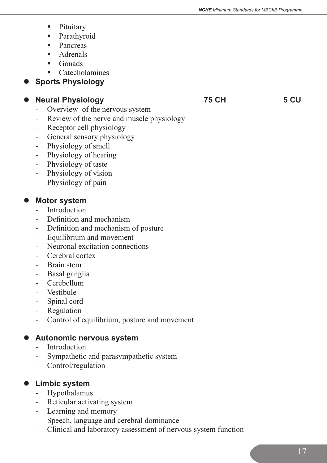- **Pituitary**
- **Parathyroid**
- Pancreas
- **Adrenals**
- $\blacksquare$  Gonads
- Catecholamines

# **Sports Physiology**

# **Neural Physiology** 75 CH 5 CU

- Overview of the nervous system
- Review of the nerve and muscle physiology
- Receptor cell physiology
- General sensory physiology
- Physiology of smell
- Physiology of hearing
- Physiology of taste
- Physiology of vision
- Physiology of pain

# **Motor system**

- Introduction
- Definition and mechanism
- Definition and mechanism of posture
- Equilibrium and movement
- Neuronal excitation connections
- Cerebral cortex
- Brain stem
- Basal ganglia
- Cerebellum
- Vestibule
- Spinal cord
- Regulation
- Control of equilibrium, posture and movement

# $\bullet$  Autonomic nervous system

- Introduction
- - Sympathetic and parasympathetic system
- Control/regulation

# $\bullet$  Limbic system

- - Hypothalamus
- Reticular activating system
- Learning and memory
- Speech, language and cerebral dominance
- Clinical and laboratory assessment of nervous system function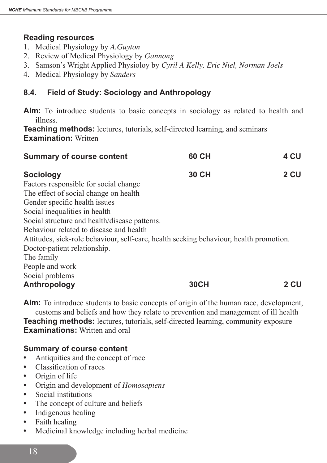#### **Reading resources**

- 1. Medical Physiology by *A.Guyton*
- 2. Review of Medical Physiology by *Gannong*
- 3. Samson's Wright Applied Physioloy by *Cyril A Kelly, Eric Niel, Norman Joels*
- 4. Medical Physiology by *Sanders*

# **8.4. Field of Study: Sociology and Anthropology**

**Aim:** To introduce students to basic concepts in sociology as related to health and illness.

**Teaching methods:** lectures, tutorials, self-directed learning, and seminars **Examination: Written** 

| <b>Summary of course content</b>                                                       | 60 CH        | 4 CU |
|----------------------------------------------------------------------------------------|--------------|------|
| <b>Sociology</b>                                                                       | <b>30 CH</b> | 2 CU |
| Factors responsible for social change                                                  |              |      |
| The effect of social change on health                                                  |              |      |
| Gender specific health issues                                                          |              |      |
| Social inequalities in health                                                          |              |      |
| Social structure and health/disease patterns.                                          |              |      |
| Behaviour related to disease and health                                                |              |      |
| Attitudes, sick-role behaviour, self-care, health seeking behaviour, health promotion. |              |      |
| Doctor-patient relationship.                                                           |              |      |
| The family                                                                             |              |      |
| People and work                                                                        |              |      |
| Social problems                                                                        |              |      |
| Anthropology                                                                           | <b>30CH</b>  | 2 CU |

**Aim:** To introduce students to basic concepts of origin of the human race, development, customs and beliefs and how they relate to prevention and management of ill health **Teaching methods:** lectures, tutorials, self-directed learning, community exposure **Examinations:** Written and oral

#### **Summary of course content**

- **•** Antiquities and the concept of race
- **•** Classification of races
- **•** Origin of life
- **•** Origin and development of *Homosapiens*
- **•** Social institutions
- The concept of culture and beliefs
- **•** Indigenous healing
- **•** Faith healing
- **•** Medicinal knowledge including herbal medicine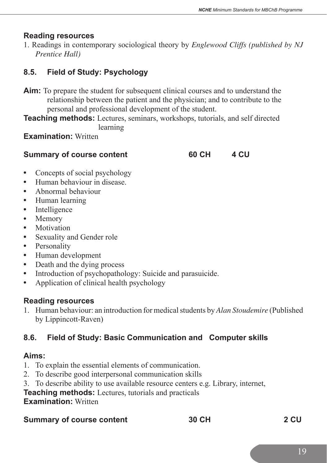#### **Reading resources**

1. Readings in contemporary sociological theory by *Englewood Cliffs (published by NJ Prentice Hall)*

# **8.5. Field of Study: Psychology**

- **Aim:** To prepare the student for subsequent clinical courses and to understand the relationship between the patient and the physician; and to contribute to the personal and professional development of the student.
- **Teaching methods:** Lectures, seminars, workshops, tutorials, and self directed learning

**Examination: Written** 

#### **Summary of course content 60 CH 4 CU**

- Concepts of social psychology
- **•** Human behaviour in disease.
- **•** Abnormal behaviour
- **•** Human learning
- Intelligence
- **•** Memory
- **•** Motivation
- **•** Sexuality and Gender role
- **•** Personality
- **•** Human development
- Death and the dying process
- **•** Introduction of psychopathology: Suicide and parasuicide.
- **•** Application of clinical health psychology

#### **Reading resources**

1. Human behaviour: an introduction for medical students by *Alan Stoudemire* (Published by Lippincott-Raven)

# **8.6. Field of Study: Basic Communication and Computer skills**

# **Aims:**

- 1. To explain the essential elements of communication.
- 2. To describe good interpersonal communication skills
- 3. To describe ability to use available resource centers e.g. Library, internet,
- **Teaching methods:** Lectures, tutorials and practicals

**Examination: Written** 

#### **Summary of course content 50 CH 30 CH 2 CU**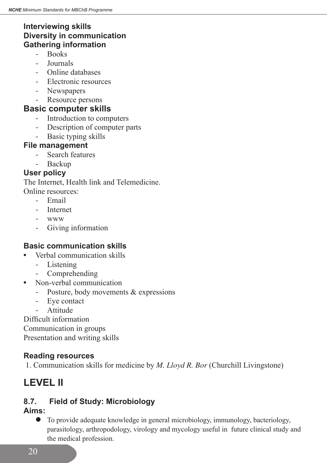# **Interviewing skills Diversity in communication Gathering information**

- Books
- - Journals
- - Online databases
- Electronic resources
- Newspapers
- Resource persons

## **Basic computer skills**

- Introduction to computers
- Description of computer parts
- Basic typing skills

## **File management**

- - Search features
- Backup

# **User policy**

The Internet, Health link and Telemedicine.

- Online resources:
	- - Email
	- - Internet
	- www
	- - Giving information

# **Basic communication skills**

- **•** Verbal communication skills
	- Listening
	- Comprehending
- **•** Non-verbal communication
	- Posture, body movements & expressions
	- Eve contact
	- **Attitude**

Difficult information Communication in groups Presentation and writing skills

# **Reading resources**

1. Communication skills for medicine by *M. Lloyd R. Bor* (Churchill Livingstone)

# **LEVEL II**

# **8.7. Field of Study: Microbiology**

# **Aims:**

l To provide adequate knowledge in general microbiology, immunology, bacteriology, parasitology, arthropodology, virology and mycology useful in future clinical study and the medical profession.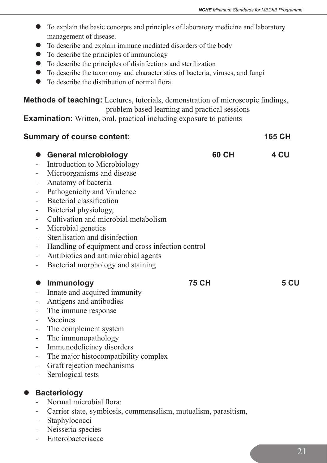- l To explain the basic concepts and principles of laboratory medicine and laboratory management of disease.
- To describe and explain immune mediated disorders of the body
- $\bullet$  To describe the principles of immunology
- $\bullet$  To describe the principles of disinfections and sterilization
- $\bullet$  To describe the taxonomy and characteristics of bacteria, viruses, and fungi
- $\bullet$  To describe the distribution of normal flora.

**Methods of teaching:** Lectures, tutorials, demonstration of microscopic findings, problem based learning and practical sessions

**Examination:** Written, oral, practical including exposure to patients

# **Summary of course content: 165 CH • General microbiology 60 CH 4 CU** - Introduction to Microbiology - Microorganisms and disease - Anatomy of bacteria Pathogenicity and Virulence Bacterial classification Bacterial physiology, - Cultivation and microbial metabolism Microbial genetics - Sterilisation and disinfection Handling of equipment and cross infection control - Antibiotics and antimicrobial agents Bacterial morphology and staining **•** Immunology 75 CH 5 CU Innate and acquired immunity Antigens and antibodies - The immune response **Vaccines** - The complement system - The immunopathology - Immunodeficincy disorders - The major histocompatibility complex - Graft rejection mechanisms - Serological tests **Bacteriology** Normal microbial flora: - Carrier state, symbiosis, commensalism, mutualism, parasitism, - Staphylococci - Neisseria species

Enterobacteriacae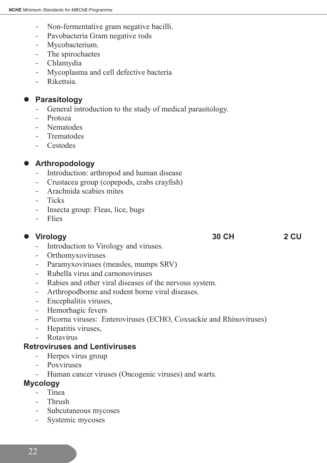- Non-fermentative gram negative bacilli.
- Pavobacteria Gram negative rods
- Mycobacterium.
- The spirochaetes
- Chlamydia
- Mycoplasma and cell defective bacteria
- Rikettsia

#### **Parasitology**

- General introduction to the study of medical parasitology.
- - Protoza
- Nematodes
- **Trematodes**
- - Cestodes

#### **Arthropodology**

- Introduction: arthropod and human disease
- Crustacea group (copepods, crabs crayfish)
- Arachnida scabies mites
- Ticks
- Insecta group: Fleas, lice, bugs
- - Flies

#### **lack Urology** 30 CH 2 CU

- Introduction to Virology and viruses.
- - Orthomyxoviruses
- Paramyxoviruses (measles, mumps SRV)
- Rubella virus and carnonoviruses
- Rabies and other viral diseases of the nervous system.
- Arthropodborne and rodent borne viral diseases.
- Encephalitis viruses,
- Hemorhagic fevers
- Picorna viruses: Enteroviruses (ECHO, Coxsackie and Rhinoviruses)
- Hepatitis viruses,
- Rotavirus

#### **Retroviruses and Lentiviruses**

- Herpes virus group
- Poxviruses
- Human cancer viruses (Oncogenic viruses) and warts.

#### **Mycology**

- Tinea
- Thrush
- Subcutaneous mycoses
- Systemic mycoses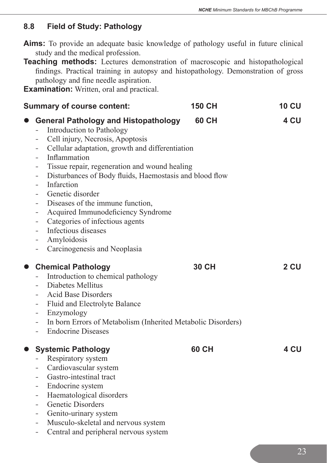## **8.8 Field of Study: Pathology**

- **Aims:** To provide an adequate basic knowledge of pathology useful in future clinical study and the medical profession.
- **Teaching methods:** Lectures demonstration of macroscopic and histopathological findings. Practical training in autopsy and histopathology. Demonstration of gross pathology and fine needle aspiration.

**Examination:** Written, oral and practical.

| <b>Summary of course content:</b>                                                                                                                                                                                                                                                                                                                                                                                                                                                                                                                                                                                                                                         | <b>150 CH</b> | <b>10 CU</b> |
|---------------------------------------------------------------------------------------------------------------------------------------------------------------------------------------------------------------------------------------------------------------------------------------------------------------------------------------------------------------------------------------------------------------------------------------------------------------------------------------------------------------------------------------------------------------------------------------------------------------------------------------------------------------------------|---------------|--------------|
| <b>General Pathology and Histopathology</b><br>Introduction to Pathology<br>Cell injury, Necrosis, Apoptosis<br>-<br>Cellular adaptation, growth and differentiation<br>$\blacksquare$<br>Inflammation<br>$-$<br>Tissue repair, regeneration and wound healing<br>-<br>Disturbances of Body fluids, Haemostasis and blood flow<br>$\equiv$<br>Infarction<br>$\overline{\phantom{0}}$<br>Genetic disorder<br>Diseases of the immune function,<br>$\qquad \qquad -$<br>Acquired Immunodeficiency Syndrome<br>-<br>Categories of infectious agents<br>-<br>Infectious diseases<br>$\qquad \qquad -$<br>Amyloidosis<br>-<br>Carcinogenesis and Neoplasia<br>$\qquad \qquad -$ | <b>60 CH</b>  | 4 CU         |
| <b>Chemical Pathology</b><br>$\bullet$<br>Introduction to chemical pathology<br>Diabetes Mellitus<br>Acid Base Disorders<br>Fluid and Electrolyte Balance<br>$\blacksquare$<br>Enzymology<br>Ξ.<br>In born Errors of Metabolism (Inherited Metabolic Disorders)<br>$ \,$<br><b>Endocrine Diseases</b><br>$-$                                                                                                                                                                                                                                                                                                                                                              | 30 CH         | 2 CU         |
| <b>Systemic Pathology</b><br>$\bullet$<br>Respiratory system<br>Cardiovascular system<br>-<br>Gastro-intestinal tract<br>$\qquad \qquad -$<br>Endocrine system<br>$\equiv$<br>Haematological disorders<br>$\overline{\phantom{a}}$<br>Genetic Disorders<br>Genito-urinary system<br>$\overline{\phantom{a}}$<br>Musculo-skeletal and nervous system<br>$\overline{\phantom{0}}$<br>Central and peripheral nervous system                                                                                                                                                                                                                                                  | <b>60 CH</b>  | 4 CU         |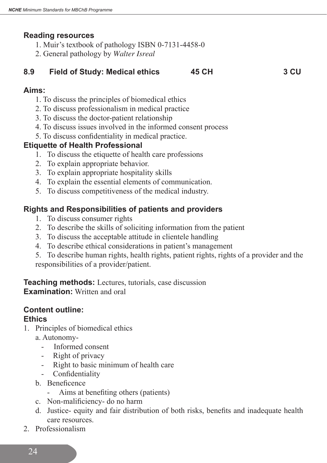#### **Reading resources**

- 1. Muir's textbook of pathology ISBN 0-7131-4458-0
- 2. General pathology by *Walter Isreal*

# **8.9 Field of Study: Medical ethics 45 CH 3 CU**

#### **Aims:**

- 1. To discuss the principles of biomedical ethics
- 2. To discuss professionalism in medical practice
- 3. To discuss the doctor-patient relationship
- 4. To discuss issues involved in the informed consent process
- 5. To discuss confidentiality in medical practice.

#### **Etiquette of Health Professional**

- 1. To discuss the etiquette of health care professions
- 2. To explain appropriate behavior.
- 3. To explain appropriate hospitality skills
- 4. To explain the essential elements of communication.
- 5. To discuss competitiveness of the medical industry.

## **Rights and Responsibilities of patients and providers**

- 1. To discuss consumer rights
- 2. To describe the skills of soliciting information from the patient
- 3. To discuss the acceptable attitude in clientele handling
- 4. To describe ethical considerations in patient's management
- 5. To describe human rights, health rights, patient rights, rights of a provider and the responsibilities of a provider/patient.

**Teaching methods:** Lectures, tutorials, case discussion **Examination:** Written and oral

# **Content outline:**

#### **Ethics**

- 1. Principles of biomedical ethics
	- a. Autonomy-
		- Informed consent
		- Right of privacy
		- Right to basic minimum of health care
		- Confidentiality
	- b. Beneficence
		- Aims at benefiting others (patients)
	- c. Non-malificiency- do no harm
	- d. Justice- equity and fair distribution of both risks, benefits and inadequate health care resources.
- 2. Professionalism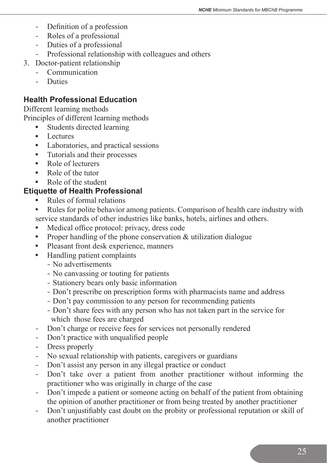- Definition of a profession
- Roles of a professional
- Duties of a professional
- Professional relationship with colleagues and others
- 3. Doctor-patient relationship
	- - Communication
	- - Duties

#### **Health Professional Education**

Different learning methods Principles of different learning methods

- **•** Students directed learning
- **•** Lectures
- **•** Laboratories, and practical sessions
- **•** Tutorials and their processes
- **•** Role of lecturers
- **•** Role of the tutor
- **•** Role of the student

# **Etiquette of Health Professional**

- **•** Rules of formal relations
- **•** Rules for polite behavior among patients. Comparison of health care industry with service standards of other industries like banks, hotels, airlines and others.
- **•** Medical office protocol: privacy, dress code
- Proper handling of the phone conservation & utilization dialogue
- **•** Pleasant front desk experience, manners
- **•** Handling patient complaints
	- No advertisements
	- No canvassing or touting for patients
	- Stationery bears only basic information
	- Don't prescribe on prescription forms with pharmacists name and address
	- Don't pay commission to any person for recommending patients
	- Don't share fees with any person who has not taken part in the service for which those fees are charged
- Don't charge or receive fees for services not personally rendered
- Don't practice with unqualified people
- Dress properly
- No sexual relationship with patients, caregivers or guardians
- Don't assist any person in any illegal practice or conduct
- Don't take over a patient from another practitioner without informing the practitioner who was originally in charge of the case
- Don't impede a patient or someone acting on behalf of the patient from obtaining the opinion of another practitioner or from being treated by another practitioner
- Don't unjustifiably cast doubt on the probity or professional reputation or skill of another practitioner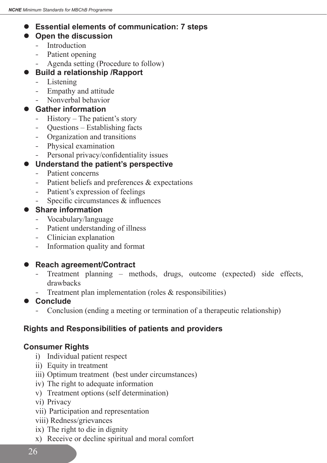# $\bullet$  Essential elements of communication: 7 steps

# $\bullet$  Open the discussion

- Introduction
- Patient opening
- Agenda setting (Procedure to follow)

# **Build a relationship /Rapport**

- Listening
- Empathy and attitude
- Nonverbal behavior

# **Gather information**

- History The patient's story
- Questions Establishing facts
- Organization and transitions
- Physical examination
- Personal privacy/confidentiality issues

## $\bullet$  Understand the patient's perspective

- Patient concerns
- Patient beliefs and preferences & expectations
- Patient's expression of feelings
- Specific circumstances  $&$  influences

#### **Share information**

- Vocabulary/language
- Patient understanding of illness
- - Clinician explanation
- Information quality and format

# ● Reach agreement/Contract

- Treatment planning methods, drugs, outcome (expected) side effects, drawbacks
- Treatment plan implementation (roles  $&$  responsibilities)
- **Conclude** 
	- Conclusion (ending a meeting or termination of a therapeutic relationship)

# **Rights and Responsibilities of patients and providers**

# **Consumer Rights**

- i) Individual patient respect
- ii) Equity in treatment
- iii) Optimum treatment (best under circumstances)
- iv) The right to adequate information
- v) Treatment options (self determination)
- vi) Privacy
- vii) Participation and representation
- viii) Redness/grievances
- ix) The right to die in dignity
- x) Receive or decline spiritual and moral comfort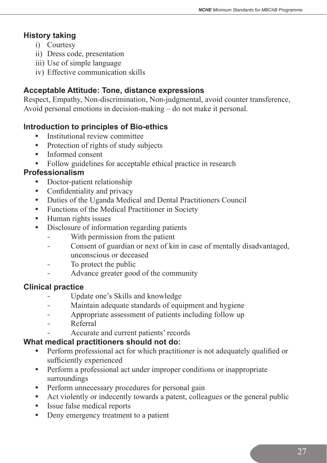# **History taking**

- i) Courtesy
- ii) Dress code, presentation
- iii) Use of simple language
- iv) Effective communication skills

# **Acceptable Attitude: Tone, distance expressions**

Respect, Empathy, Non-discrimination, Non-judgmental, avoid counter transference, Avoid personal emotions in decision-making – do not make it personal.

## **Introduction to principles of Bio-ethics**

- **•** Institutional review committee
- Protection of rights of study subjects
- **•** Informed consent
- **•** Follow guidelines for acceptable ethical practice in research

#### **Professionalism**

- **•** Doctor-patient relationship
- Confidentiality and privacy
- **•** Duties of the Uganda Medical and Dental Practitioners Council
- **•** Functions of the Medical Practitioner in Society
- **•** Human rights issues
- Disclosure of information regarding patients
	- With permission from the patient
	- Consent of guardian or next of kin in case of mentally disadvantaged, unconscious or deceased
	- To protect the public
	- Advance greater good of the community

# **Clinical practice**

- Update one's Skills and knowledge
- Maintain adequate standards of equipment and hygiene
- Appropriate assessment of patients including follow up
- Referral
- Accurate and current patients' records

# **What medical practitioners should not do:**

- **•** Perform professional act for which practitioner is not adequately qualified or sufficiently experienced
- Perform a professional act under improper conditions or inappropriate surroundings
- Perform unnecessary procedures for personal gain
- **•** Act violently or indecently towards a patent, colleagues or the general public
- **•** Issue false medical reports
- **•** Deny emergency treatment to a patient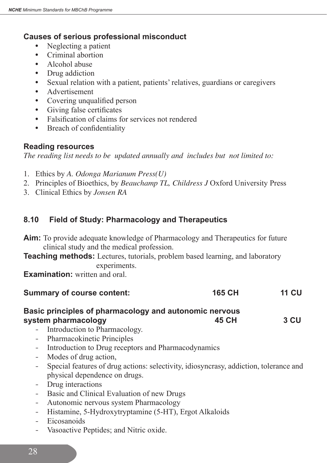# **Causes of serious professional misconduct**

- **•** Neglecting a patient
- **•** Criminal abortion
- **•** Alcohol abuse
- Drug addiction
- **•** Sexual relation with a patient, patients' relatives, guardians or caregivers
- **•** Advertisement
- **•** Covering unqualified person
- **•** Giving false certificates
- **•** Falsification of claims for services not rendered
- **•** Breach of confidentiality

#### **Reading resources**

*The reading list needs to be updated annually and includes but not limited to:*

- 1. Ethics by *A. Odonga Marianum Press(U)*
- 2. Principles of Bioethics, by *Beauchamp TL, Childress J* Oxford University Press
- 3. Clinical Ethics by *Jonsen RA*

# **8.10 Field of Study: Pharmacology and Therapeutics**

- **Aim:** To provide adequate knowledge of Pharmacology and Therapeutics for future clinical study and the medical profession.
- **Teaching methods:** Lectures, tutorials, problem based learning, and laboratory experiments.

**Examination:** written and oral.

| <b>Summary of course content:</b>                      | <b>165 CH</b> | <b>11 CU</b> |
|--------------------------------------------------------|---------------|--------------|
| Basic principles of pharmacology and autonomic nervous |               |              |
| system pharmacology                                    | 45 CH         | 3 CU         |

- Introduction to Pharmacology.
- - Pharmacokinetic Principles
- Introduction to Drug receptors and Pharmacodynamics
- Modes of drug action,
- Special features of drug actions: selectivity, idiosyncrasy, addiction, tolerance and physical dependence on drugs.
- Drug interactions
- Basic and Clinical Evaluation of new Drugs
- Autonomic nervous system Pharmacology
- Histamine, 5-Hydroxytryptamine (5-HT), Ergot Alkaloids
- Eicosanoids
- Vasoactive Peptides; and Nitric oxide.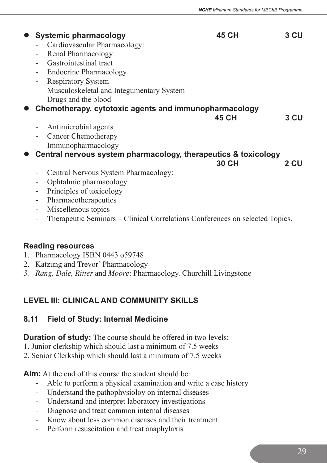| <b>Systemic pharmacology</b><br>Cardiovascular Pharmacology:<br>Renal Pharmacology<br>-<br>Gastrointestinal tract<br><b>Endocrine Pharmacology</b><br>$\qquad \qquad -$<br><b>Respiratory System</b><br>$\qquad \qquad \blacksquare$<br>Musculoskeletal and Integumentary System<br>$\qquad \qquad -$<br>Drugs and the blood                         | 45 CH        | 3 CU |
|------------------------------------------------------------------------------------------------------------------------------------------------------------------------------------------------------------------------------------------------------------------------------------------------------------------------------------------------------|--------------|------|
| Chemotherapy, cytotoxic agents and immunopharmacology<br>Antimicrobial agents<br>$\overline{\phantom{a}}$<br>Cancer Chemotherapy<br>$\qquad \qquad -$<br>Immunopharmacology                                                                                                                                                                          | <b>45 CH</b> | 3 CU |
| Central nervous system pharmacology, therapeutics & toxicology<br>Central Nervous System Pharmacology:<br>-<br>Ophtalmic pharmacology<br>-<br>Principles of toxicology<br>$\qquad \qquad -$<br>Pharmacotherapeutics<br>$\qquad \qquad -$<br>Miscellenous topics<br>-<br>Therapeutic Seminars – Clinical Correlations Conferences on selected Topics. | 30 CH        | 2 CU |

#### **Reading resources**

- 1. Pharmacology ISBN 0443 o59748
- 2. Katzung and Trevor' Pharmacology
- *3. Rang, Dale, Ritter* and *Moore*: Pharmacology. Churchill Livingstone

# **LEVEL III: CLINICAL AND COMMUNITY SKILLS**

#### **8.11 Field of Study: Internal Medicine**

**Duration of study:** The course should be offered in two levels:

- 1. Junior clerkship which should last a minimum of 7.5 weeks
- 2. Senior Clerkship which should last a minimum of 7.5 weeks

**Aim:** At the end of this course the student should be:

- Able to perform a physical examination and write a case history
- Understand the pathophysioloy on internal diseases
- Understand and interpret laboratory investigations
- Diagnose and treat common internal diseases
- Know about less common diseases and their treatment
- Perform resuscitation and treat anaphylaxis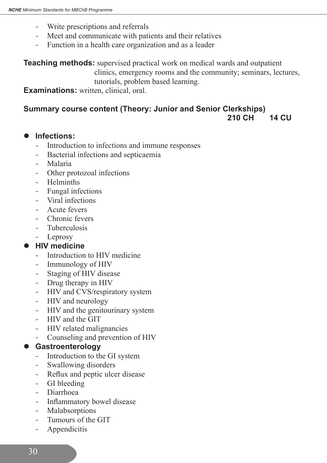- Write prescriptions and referrals
- Meet and communicate with patients and their relatives
- Function in a health care organization and as a leader

**Teaching methods:** supervised practical work on medical wards and outpatient clinics, emergency rooms and the community; seminars, lectures, tutorials, problem based learning.

**Examinations:** written, clinical, oral.

# **Summary course content (Theory: Junior and Senior Clerkships)**

 **210 CH 14 CU**

#### **Infections:**

- Introduction to infections and immune responses
- Bacterial infections and septicaemia
- - Malaria
- Other protozoal infections
- **Helminths**
- - Fungal infections
- - Viral infections
- Acute fevers
- Chronic fevers
- Tuberculosis
- - Leprosy

#### **HIV medicine**

- Introduction to HIV medicine
- Immunology of HIV
- Staging of HIV disease
- Drug therapy in HIV
- HIV and CVS/respiratory system
- HIV and neurology
- HIV and the genitourinary system
- HIV and the GIT
- HIV related malignancies
- Counseling and prevention of HIV

#### l **Gastroenterology**

- Introduction to the GI system
- Swallowing disorders
- Reflux and peptic ulcer disease
- GI bleeding
- - Diarrhoea
- Inflammatory bowel disease
- Malabsorptions
- Tumours of the GIT
- Appendicitis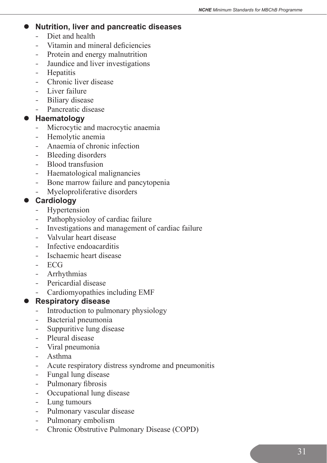#### **Nutrition, liver and pancreatic diseases**

- Diet and health
- - Vitamin and mineral deficiencies
- Protein and energy malnutrition
- Jaundice and liver investigations
- Hepatitis
- Chronic liver disease
- Liver failure
- Biliary disease
- Pancreatic disease

#### **Haematology**

- Microcytic and macrocytic anaemia
- Hemolytic anemia
- Anaemia of chronic infection
- Bleeding disorders
- Blood transfusion
- Haematological malignancies
- Bone marrow failure and pancytopenia
- Myeloproliferative disorders

#### **Cardiology**

- Hypertension
- Pathophysioloy of cardiac failure
- Investigations and management of cardiac failure
- Valvular heart disease
- Infective endoacarditis
- - Ischaemic heart disease
- - ECG
- Arrhythmias
- Pericardial disease
- Cardiomyopathies including EMF

#### **Respiratory disease**

- Introduction to pulmonary physiology
- - Bacterial pneumonia
- Suppuritive lung disease
- Pleural disease
- - Viral pneumonia
- - Asthma
- Acute respiratory distress syndrome and pneumonitis
- Fungal lung disease
- Pulmonary fibrosis
- Occupational lung disease
- Lung tumours
- Pulmonary vascular disease
- Pulmonary embolism
- Chronic Obstrutive Pulmonary Disease (COPD)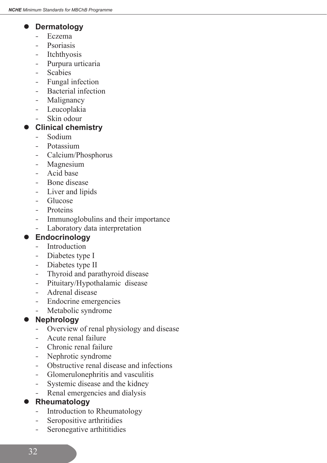### **Dermatology**

- - Eczema
- Psoriasis
- Itchthyosis
- Purpura urticaria
- - Scabies
- Fungal infection
- Bacterial infection
- Malignancy
- Leucoplakia
- Skin odour

# **Clinical chemistry**

- Sodium
- Potassium
- - Calcium/Phosphorus
- Magnesium
- Acid base
- Bone disease
- Liver and lipids
- - Glucose
- Proteins
- Immunoglobulins and their importance
- Laboratory data interpretation

# **Endocrinology**

- Introduction
- Diabetes type I
- Diabetes type II
- Thyroid and parathyroid disease
- Pituitary/Hypothalamic disease
- Adrenal disease
- Endocrine emergencies
- Metabolic syndrome

# **Nephrology**

- Overview of renal physiology and disease
- Acute renal failure
- Chronic renal failure
- Nephrotic syndrome
- Obstructive renal disease and infections
- - Glomerulonephritis and vasculitis
- Systemic disease and the kidney
- Renal emergencies and dialysis

# **Rheumatology**

- Introduction to Rheumatology
- Seropositive arthritidies
- Seronegative arthititidies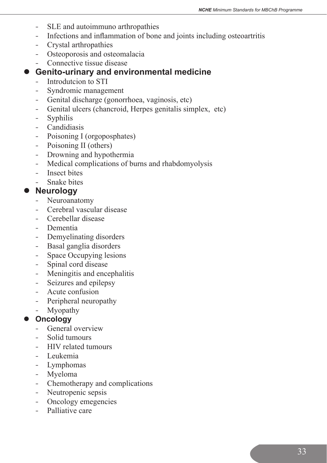- SLE and autoimmuno arthropathies
- Infections and inflammation of bone and joints including osteoartritis
- Crystal arthropathies
- Osteoporosis and osteomalacia
- - Connective tissue disease

# $\bullet$  Genito-urinary and environmental medicine

- Introdutcion to STI
- - Syndromic management
- - Genital discharge (gonorrhoea, vaginosis, etc)
- Genital ulcers (chancroid, Herpes genitalis simplex, etc)
- - Syphilis
- Candidiasis
- Poisoning I (orgoposphates)
- Poisoning II (others)
- Drowning and hypothermia
- Medical complications of burns and rhabdomyolysis
- Insect bites
- Snake bites

# $\bullet$  Neurology

- Neuroanatomy
- Cerebral vascular disease
- Cerebellar disease
- - Dementia
- Demyelinating disorders
- Basal ganglia disorders
- Space Occupying lesions
- Spinal cord disease
- Meningitis and encephalitis
- Seizures and epilepsy
- Acute confusion
- Peripheral neuropathy
- Myopathy

#### **Oncology**

- General overview
- Solid tumours
- HIV related tumours
- - Leukemia
- Lymphomas
- Myeloma
- Chemotherapy and complications
- Neutropenic sepsis
- Oncology emegencies
- Palliative care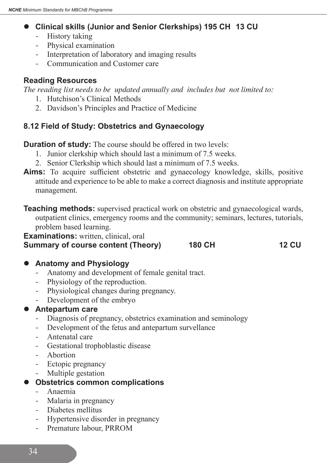#### **• Clinical skills (Junior and Senior Clerkships) 195 CH 13 CU**

- History taking
- Physical examination
- Interpretation of laboratory and imaging results
- Communication and Customer care

#### **Reading Resources**

*The reading list needs to be updated annually and includes but not limited to:*

- 1. Hutchison's Clinical Methods
- 2. Davidson's Principles and Practice of Medicine

## **8.12 Field of Study: Obstetrics and Gynaecology**

**Duration of study:** The course should be offered in two levels:

- 1. Junior clerkship which should last a minimum of 7.5 weeks.
- 2. Senior Clerkship which should last a minimum of 7.5 weeks.
- **Aims:** To acquire sufficient obstetric and gynaecology knowledge, skills, positive attitude and experience to be able to make a correct diagnosis and institute appropriate management.
- **Teaching methods:** supervised practical work on obstetric and gynaecological wards, outpatient clinics, emergency rooms and the community; seminars, lectures, tutorials, problem based learning.

**Examinations:** written, clinical, oral

# **Summary of course content (Theory) 180 CH 12 CU**

#### **• Anatomy and Physiology**

- Anatomy and development of female genital tract.
- Physiology of the reproduction.
- Physiological changes during pregnancy.
- Development of the embryo

#### **Antepartum care**

- Diagnosis of pregnancy, obstetrics examination and seminology
- Development of the fetus and antepartum survellance
- Antenatal care
- Gestational trophoblastic disease
- Abortion
- Ectopic pregnancy
- Multiple gestation

#### **Obstetrics common complications**

- - Anaemia
- Malaria in pregnancy
- - Diabetes mellitus
- Hypertensive disorder in pregnancy
- Premature labour, PRROM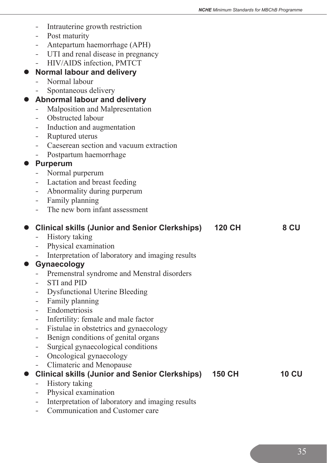|           | -                        | Intrauterine growth restriction<br>Post maturity                              |               |              |
|-----------|--------------------------|-------------------------------------------------------------------------------|---------------|--------------|
|           | Ξ.                       | Antepartum haemorrhage (APH)                                                  |               |              |
|           | $\sim$                   | UTI and renal disease in pregnancy                                            |               |              |
|           | $\equiv$                 | HIV/AIDS infection, PMTCT                                                     |               |              |
| $\bullet$ |                          | <b>Normal labour and delivery</b>                                             |               |              |
|           |                          | Normal labour                                                                 |               |              |
|           |                          | Spontaneous delivery                                                          |               |              |
| $\bullet$ |                          | <b>Abnormal labour and delivery</b>                                           |               |              |
|           | $\qquad \qquad -$        | Malposition and Malpresentation                                               |               |              |
|           |                          | Obstructed labour                                                             |               |              |
|           |                          |                                                                               |               |              |
|           | Ξ.                       | Induction and augmentation                                                    |               |              |
|           | $-$ .                    | Ruptured uterus<br>Caeserean section and vacuum extraction                    |               |              |
|           |                          |                                                                               |               |              |
|           | ÷                        | Postpartum haemorrhage                                                        |               |              |
|           |                          | <b>Purperum</b>                                                               |               |              |
|           |                          | Normal purperum                                                               |               |              |
|           | $\equiv$                 | Lactation and breast feeding                                                  |               |              |
|           | $\sim$                   | Abnormality during purperum                                                   |               |              |
|           |                          | Family planning<br>The new born infant assessment                             |               |              |
|           |                          |                                                                               |               |              |
| $\bullet$ |                          | <b>Clinical skills (Junior and Senior Clerkships)</b>                         | <b>120 CH</b> | 8 CU         |
|           |                          | History taking                                                                |               |              |
|           | $\overline{\phantom{a}}$ |                                                                               |               |              |
|           |                          | Physical examination                                                          |               |              |
|           |                          |                                                                               |               |              |
|           |                          | Interpretation of laboratory and imaging results<br><b>Gynaecology</b>        |               |              |
|           |                          | Premenstral syndrome and Menstral disorders                                   |               |              |
|           |                          | STI and PID                                                                   |               |              |
|           | -                        | <b>Dysfunctional Uterine Bleeding</b>                                         |               |              |
|           | $\equiv$                 | Family planning                                                               |               |              |
|           |                          | Endometriosis                                                                 |               |              |
|           |                          |                                                                               |               |              |
|           |                          | Infertility: female and male factor<br>Fistulae in obstetrics and gynaecology |               |              |
|           |                          |                                                                               |               |              |
|           |                          | Benign conditions of genital organs                                           |               |              |
|           | Ξ.                       | Surgical gynaecological conditions                                            |               |              |
|           |                          | Oncological gynaecology                                                       |               |              |
|           |                          | Climateric and Menopause                                                      | <b>150 CH</b> | <b>10 CU</b> |
|           |                          | <b>Clinical skills (Junior and Senior Clerkships)</b>                         |               |              |
|           |                          | <b>History taking</b>                                                         |               |              |
|           |                          | Physical examination<br>Interpretation of laboratory and imaging results      |               |              |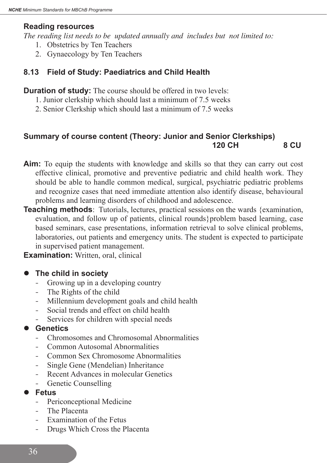#### **Reading resources**

*The reading list needs to be updated annually and includes but not limited to:*

- 1. Obstetrics by Ten Teachers
- 2. Gynaecology by Ten Teachers

# **8.13 Field of Study: Paediatrics and Child Health**

**Duration of study:** The course should be offered in two levels:

- 1. Junior clerkship which should last a minimum of 7.5 weeks
- 2. Senior Clerkship which should last a minimum of 7.5 weeks

# **Summary of course content (Theory: Junior and Senior Clerkships) 120 CH 8 CU**

- **Aim:** To equip the students with knowledge and skills so that they can carry out cost effective clinical, promotive and preventive pediatric and child health work. They should be able to handle common medical, surgical, psychiatric pediatric problems and recognize cases that need immediate attention also identify disease, behavioural problems and learning disorders of childhood and adolescence.
- **Teaching methods**: Tutorials, lectures, practical sessions on the wards {examination, evaluation, and follow up of patients, clinical rounds}problem based learning, case based seminars, case presentations, information retrieval to solve clinical problems, laboratories, out patients and emergency units. The student is expected to participate in supervised patient management.

**Examination:** Written, oral, clinical

- **The child in society** 
	- Growing up in a developing country
	- The Rights of the child
	- Millennium development goals and child health
	- Social trends and effect on child health
	- Services for children with special needs

# Genetics

- - Chromosomes and Chromosomal Abnormalities
- Common Autosomal Abnormalities
- Common Sex Chromosome Abnormalities
- Single Gene (Mendelian) Inheritance
- Recent Advances in molecular Genetics
- Genetic Counselling
- l **Fetus**
	- Periconceptional Medicine
	- The Placenta
	- Examination of the Fetus
	- Drugs Which Cross the Placenta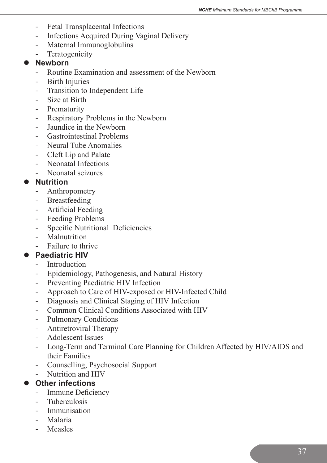- Fetal Transplacental Infections
- Infections Acquired During Vaginal Delivery
- Maternal Immunoglobulins
- Teratogenicity

#### **Newborn**

- Routine Examination and assessment of the Newborn
- Birth Injuries
- Transition to Independent Life
- Size at Birth
- Prematurity
- Respiratory Problems in the Newborn
- Jaundice in the Newborn
- **Gastrointestinal Problems**
- Neural Tube Anomalies
- Cleft Lip and Palate
- Neonatal Infections
- - Neonatal seizures

#### **Nutrition**

- **Anthropometry**
- Breastfeeding
- Artificial Feeding
- Feeding Problems
- Specific Nutritional Deficiencies
- Malnutrition
- Failure to thrive

# **Paediatric HIV**

- Introduction
- Epidemiology, Pathogenesis, and Natural History
- Preventing Paediatric HIV Infection
- Approach to Care of HIV-exposed or HIV-Infected Child
- Diagnosis and Clinical Staging of HIV Infection
- Common Clinical Conditions Associated with HIV
- Pulmonary Conditions
- Antiretroviral Therapy
- Adolescent Issues
- Long-Term and Terminal Care Planning for Children Affected by HIV/AIDS and their Families
- - Counselling, Psychosocial Support
- Nutrition and HIV

# **Other infections**

- Immune Deficiency
- **Tuberculosis**
- Immunisation
- - Malaria
- **Measles**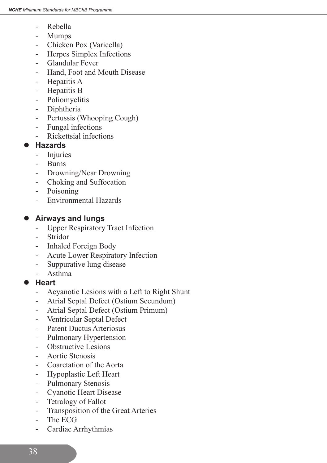- Rebella
- Mumps
- Chicken Pox (Varicella)
- Herpes Simplex Infections
- - Glandular Fever
- Hand, Foot and Mouth Disease
- Hepatitis A
- Hepatitis B
- Poliomyelitis
- Diphtheria
- Pertussis (Whooping Cough)
- - Fungal infections
- Rickettsial infections

#### l **Hazards**

- Injuries
- - Burns
- Drowning/Near Drowning
- Choking and Suffocation
- Poisoning
- Environmental Hazards

# **Airways and lungs**

- Upper Respiratory Tract Infection
- Stridor
- Inhaled Foreign Body
- Acute Lower Respiratory Infection
- Suppurative lung disease
- - Asthma
- l **Heart**
	- Acyanotic Lesions with a Left to Right Shunt
	- Atrial Septal Defect (Ostium Secundum)
	- Atrial Septal Defect (Ostium Primum)
	- Ventricular Septal Defect
	- Patent Ductus Arteriosus
	- Pulmonary Hypertension
	- Obstructive Lesions
	- Aortic Stenosis
	- Coarctation of the Aorta
	- Hypoplastic Left Heart
	- Pulmonary Stenosis
	- Cyanotic Heart Disease
	- Tetralogy of Fallot
	- Transposition of the Great Arteries
	- The ECG
	- Cardiac Arrhythmias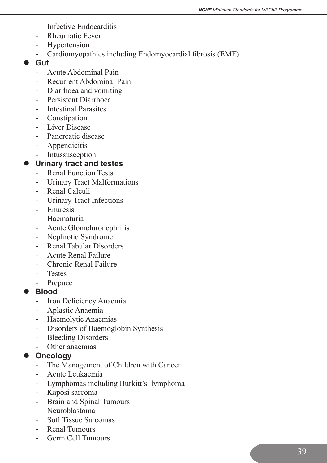- Infective Endocarditis
- Rheumatic Fever
- Hypertension
- Cardiomyopathies including Endomyocardial fibrosis (EMF)
- l **Gut**
	- Acute Abdominal Pain
	- Recurrent Abdominal Pain
	- Diarrhoea and vomiting
	- Persistent Diarrhoea
	- Intestinal Parasites
	- Constipation
	- Liver Disease
	- Pancreatic disease
	- Appendicitis
	- Intussusception

#### $\bullet$  Urinary tract and testes

- Renal Function Tests
- Urinary Tract Malformations
- Renal Calculi
- Urinary Tract Infections
- Enuresis
- Haematuria
- Acute Glomeluronephritis
- Nephrotic Syndrome
- Renal Tabular Disorders
- Acute Renal Failure
- Chronic Renal Failure
- - Testes
- Prepuce

#### l **Blood**

- Iron Deficiency Anaemia
- - Aplastic Anaemia
- Haemolytic Anaemias
- Disorders of Haemoglobin Synthesis
- Bleeding Disorders
- Other anaemias

#### **Oncology**

- The Management of Children with Cancer
- - Acute Leukaemia
- Lymphomas including Burkitt's lymphoma
- - Kaposi sarcoma
- Brain and Spinal Tumours
- Neuroblastoma
- Soft Tissue Sarcomas
- Renal Tumours
- Germ Cell Tumours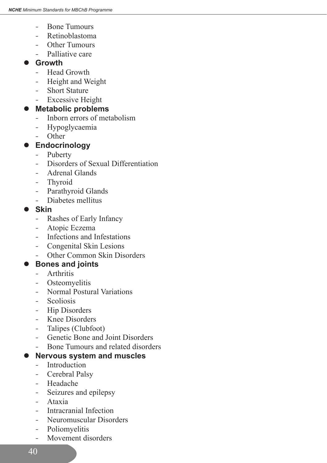- Bone Tumours
- Retinoblastoma
- Other Tumours
- Palliative care

# **Growth**

- Head Growth
- Height and Weight
- Short Stature
- Excessive Height

# ● Metabolic problems

- Inborn errors of metabolism
- Hypoglycaemia
- Other

# $\bullet$  Endocrinology

- Puberty
- Disorders of Sexual Differentiation
- Adrenal Glands
- Thyroid
- Parathyroid Glands
- - Diabetes mellitus

# l **Skin**

- Rashes of Early Infancy
- Atopic Eczema
- Infections and Infestations
- Congenital Skin Lesions
- Other Common Skin Disorders

# **Bones and joints**

- **Arthritis**
- Osteomyelitis
- Normal Postural Variations
- **Scoliosis**
- Hip Disorders
- Knee Disorders
- Talipes (Clubfoot)
- - Genetic Bone and Joint Disorders
- Bone Tumours and related disorders

# **Nervous system and muscles**

- Introduction
- Cerebral Palsy
- - Headache
- Seizures and epilepsy
- - Ataxia
- Intracranial Infection
- Neuromuscular Disorders
- Poliomyelitis
- Movement disorders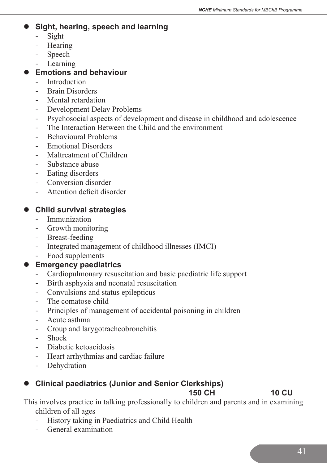#### **Sight, hearing, speech and learning**

- - Sight
- Hearing
- Speech
- Learning

## **Emotions and behaviour**

- Introduction
- Brain Disorders
- Mental retardation
- Development Delay Problems
- Psychosocial aspects of development and disease in childhood and adolescence
- The Interaction Between the Child and the environment
- Behavioural Problems
- Emotional Disorders
- Maltreatment of Children
- Substance abuse
- Eating disorders
- Conversion disorder
- Attention deficit disorder

# **Child survival strategies**

- Immunization
- Growth monitoring
- Breast-feeding
- Integrated management of childhood illnesses (IMCI)
- Food supplements

# **Emergency paediatrics**

- Cardiopulmonary resuscitation and basic paediatric life support
- Birth asphyxia and neonatal resuscitation
- Convulsions and status epilepticus
- The comatose child
- Principles of management of accidental poisoning in children
- - Acute asthma
- Croup and larygotracheobronchitis
- **Shock**
- Diabetic ketoacidosis
- Heart arrhythmias and cardiac failure
- Dehydration

# **Clinical paediatrics (Junior and Senior Clerkships)**

**150 CH 10 CU** 

This involves practice in talking professionally to children and parents and in examining children of all ages

- History taking in Paediatrics and Child Health
- - General examination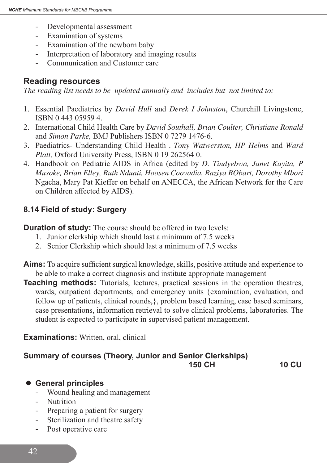- Developmental assessment
- Examination of systems
- Examination of the newborn baby
- Interpretation of laboratory and imaging results
- - Communication and Customer care

# **Reading resources**

*The reading list needs to be updated annually and includes but not limited to:*

- 1. Essential Paediatrics by *David Hull* and *Derek I Johnston*, Churchill Livingstone, ISBN 0 443 05959 4.
- 2. International Child Health Care by *David Southall, Brian Coulter, Christiane Ronald*  and *Simon Parke,* BMJ Publishers ISBN 0 7279 1476-6.
- 3. Paediatrics- Understanding Child Health . *Tony Watwerston, HP Helms* and *Ward Platt,* Oxford University Press, ISBN 0 19 262564 0.
- 4. Handbook on Pediatric AIDS in Africa (edited by *D. Tindyebwa, Janet Kayita, P Musoke, Brian Elley, Ruth Nduati, Hoosen Coovadia, Raziya BObart, Dorothy Mbori* Ngacha, Mary Pat Kieffer on behalf on ANECCA, the African Network for the Care on Children affected by AIDS).

# **8.14 Field of study: Surgery**

**Duration of study:** The course should be offered in two levels:

- 1. Junior clerkship which should last a minimum of 7.5 weeks
- 2. Senior Clerkship which should last a minimum of 7.5 weeks
- **Aims:** To acquire sufficient surgical knowledge, skills, positive attitude and experience to be able to make a correct diagnosis and institute appropriate management
- **Teaching methods:** Tutorials, lectures, practical sessions in the operation theatres, wards, outpatient departments, and emergency units {examination, evaluation, and follow up of patients, clinical rounds,}, problem based learning, case based seminars, case presentations, information retrieval to solve clinical problems, laboratories. The student is expected to participate in supervised patient management.

#### **Examinations:** Written, oral, clinical

# **Summary of courses (Theory, Junior and Senior Clerkships) 150 CH 10 CU**

# $\bullet$  **General principles**

- Wound healing and management
- Nutrition
- Preparing a patient for surgery
- Sterilization and theatre safety
- Post operative care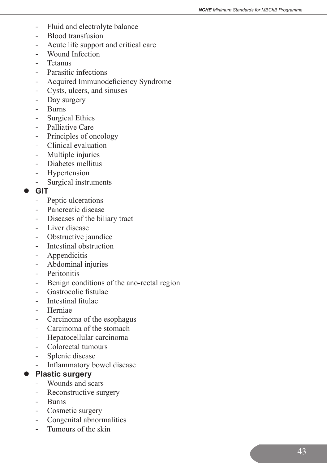- Fluid and electrolyte balance
- Blood transfusion
- Acute life support and critical care
- Wound Infection
- - Tetanus
- Parasitic infections
- Acquired Immunodeficiency Syndrome
- - Cysts, ulcers, and sinuses
- Day surgery
- - Burns
- Surgical Ethics
- Palliative Care
- Principles of oncology
- Clinical evaluation
- Multiple injuries
- - Diabetes mellitus
- Hypertension
- - Surgical instruments

#### l **GIT**

- Peptic ulcerations
- Pancreatic disease
- Diseases of the biliary tract
- Liver disease
- Obstructive jaundice
- Intestinal obstruction
- Appendicitis
- Abdominal injuries
- Peritonitis
- Benign conditions of the ano-rectal region
- - Gastrocolic fistulae
- Intestinal fitulae
- Herniae
- Carcinoma of the esophagus
- Carcinoma of the stomach
- - Hepatocellular carcinoma
- Colorectal tumours
- Splenic disease
- Inflammatory bowel disease

#### **•** Plastic surgery

- - Wounds and scars
- Reconstructive surgery
- - Burns
- Cosmetic surgery
- - Congenital abnormalities
- Tumours of the skin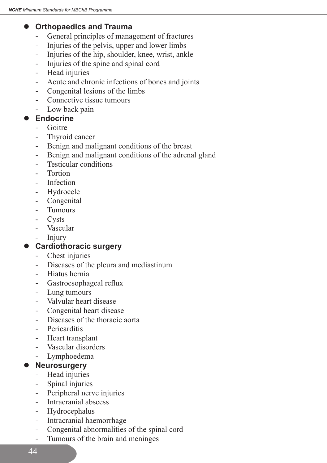## **Orthopaedics and Trauma**

- General principles of management of fractures
- Injuries of the pelvis, upper and lower limbs
- Injuries of the hip, shoulder, knee, wrist, ankle
- - Injuries of the spine and spinal cord
- Head injuries
- Acute and chronic infections of bones and joints
- Congenital lesions of the limbs
- Connective tissue tumours
- Low back pain

#### Endocrine

- - Goitre
- Thyroid cancer
- Benign and malignant conditions of the breast
- Benign and malignant conditions of the adrenal gland
- Testicular conditions
- Tortion
- Infection
- Hydrocele
- Congenital
- **Tumours**
- - Cysts
- Vascular
- **Injury**

# **Cardiothoracic surgery**

- Chest injuries
- Diseases of the pleura and mediastinum
- - Hiatus hernia
- Gastroesophageal reflux
- Lung tumours
- Valvular heart disease
- Congenital heart disease
- - Diseases of the thoracic aorta
- Pericarditis
- Heart transplant
- Vascular disorders
- - Lymphoedema

#### **Neurosurgery**

- Head injuries
- Spinal injuries
- Peripheral nerve injuries
- Intracranial abscess
- Hydrocephalus
- Intracranial haemorrhage
- - Congenital abnormalities of the spinal cord
- Tumours of the brain and meninges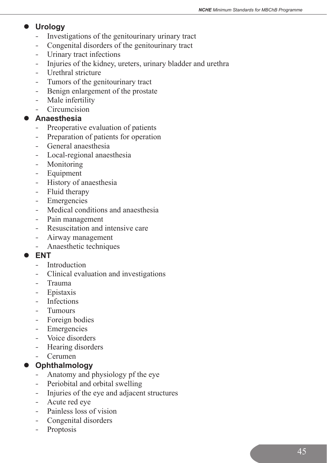# **Urology**

- Investigations of the genitourinary urinary tract
- Congenital disorders of the genitourinary tract
- Urinary tract infections
- Injuries of the kidney, ureters, urinary bladder and urethra
- Urethral stricture
- Tumors of the genitourinary tract
- Benign enlargement of the prostate
- Male infertility
- - Circumcision

#### l **Anaesthesia**

- Preoperative evaluation of patients
- Preparation of patients for operation
- - General anaesthesia
- Local-regional anaesthesia
- Monitoring
- Equipment
- History of anaesthesia
- Fluid therapy
- Emergencies
- Medical conditions and anaesthesia
- Pain management
- Resuscitation and intensive care
- Airway management
- Anaesthetic techniques

#### l **ENT**

- Introduction
- Clinical evaluation and investigations
- - Trauma
- Epistaxis
- **Infections**
- - Tumours
- Foreign bodies
- Emergencies
- Voice disorders
- Hearing disorders
- - Cerumen

#### **Ophthalmology**

- Anatomy and physiology pf the eye
- Periobital and orbital swelling
- Injuries of the eye and adjacent structures
- Acute red eve
- Painless loss of vision
- Congenital disorders
- Proptosis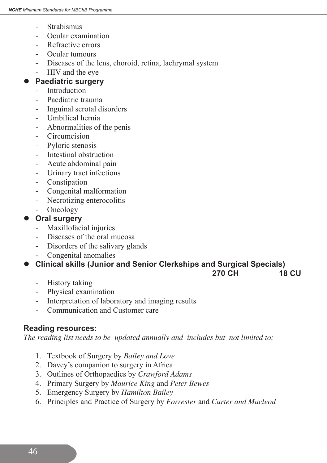- **Strabismus**
- Ocular examination
- Refractive errors
- - Ocular tumours
- Diseases of the lens, choroid, retina, lachrymal system
- HIV and the eye

#### **Paediatric surgery**

- Introduction
- Paediatric trauma
- Inguinal scrotal disorders
- - Umbilical hernia
- Abnormalities of the penis
- Circumcision
- Pyloric stenosis
- Intestinal obstruction
- Acute abdominal pain
- Urinary tract infections
- Constipation
- - Congenital malformation
- Necrotizing enterocolitis
- Oncology

#### **Oral surgery**

- Maxillofacial injuries
- Diseases of the oral mucosa
- Disorders of the salivary glands
- Congenital anomalies

# **Clinical skills (Junior and Senior Clerkships and Surgical Specials)**

 **270 CH 18 CU**

- History taking
- Physical examination
- Interpretation of laboratory and imaging results
- Communication and Customer care

#### **Reading resources:**

*The reading list needs to be updated annually and includes but not limited to:*

- 1. Textbook of Surgery by *Bailey and Love*
- 2. Davey's companion to surgery in Africa
- 3. Outlines of Orthopaedics by *Crawford Adams*
- 4. Primary Surgery by *Maurice King* and *Peter Bewes*
- 5. Emergency Surgery by *Hamilton Bailey*
- 6. Principles and Practice of Surgery by *Forrester* and *Carter and Macleod*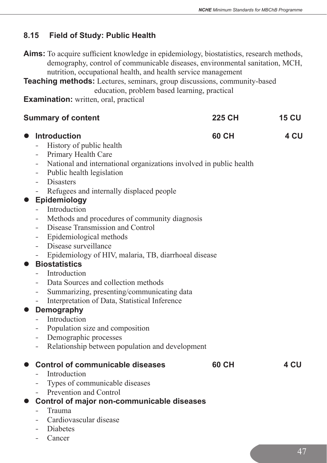# **8.15 Field of Study: Public Health**

**Aims:** To acquire sufficient knowledge in epidemiology, biostatistics, research methods, demography, control of communicable diseases, environmental sanitation, MCH, nutrition, occupational health, and health service management

**Teaching methods:** Lectures, seminars, group discussions, community-based education, problem based learning, practical

**Examination:** written, oral, practical

|                        | <b>Summary of content</b>                                                                                                                                                                                                                                                                                                     | <b>225 CH</b> | <b>15 CU</b> |
|------------------------|-------------------------------------------------------------------------------------------------------------------------------------------------------------------------------------------------------------------------------------------------------------------------------------------------------------------------------|---------------|--------------|
| $\bullet$<br>$\bullet$ | <b>Introduction</b><br>History of public health<br>Primary Health Care<br>$-$<br>National and international organizations involved in public health<br>$ \,$<br>Public health legislation<br><b>Disasters</b><br>Refugees and internally displaced people<br>$\equiv$<br>Epidemiology                                         | 60 CH         | 4 CU         |
| $\bullet$              | Introduction<br>Methods and procedures of community diagnosis<br>$\equiv$<br>Disease Transmission and Control<br>Epidemiological methods<br>Disease surveillance<br>$ \,$<br>Epidemiology of HIV, malaria, TB, diarrhoeal disease<br>$\overline{\phantom{a}}$<br><b>Biostatistics</b><br>Introduction                         |               |              |
| $\bullet$              | Data Sources and collection methods<br>Summarizing, presenting/communicating data<br>Interpretation of Data, Statistical Inference<br>$\equiv$<br><b>Demography</b><br>Introduction<br>Population size and composition<br>$\equiv$<br>Demographic processes<br>$\sim$<br>Relationship between population and development<br>- |               |              |
| $\bullet$              | <b>Control of communicable diseases</b><br>Introduction<br>Types of communicable diseases<br>$\overline{\phantom{a}}$<br>Prevention and Control<br>$\sim$ $-$<br>Control of major non-communicable diseases<br>Trauma<br>Cardiovascular disease<br>Diabetes<br>$\blacksquare$                                                 | <b>60 CH</b>  | 4 CU         |

**Cancer**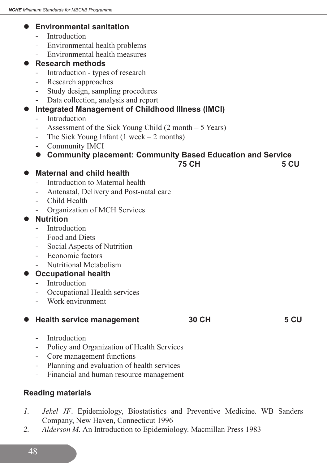## **Environmental sanitation**

- **Introduction**
- Environmental health problems
- Environmental health measures

#### **Research methods**

- Introduction types of research
- Research approaches
- Study design, sampling procedures
- Data collection, analysis and report

#### **Integrated Management of Childhood Illness (IMCI)**

- Introduction
- Assessment of the Sick Young Child (2 month 5 Years)
- The Sick Young Infant  $(1 \text{ week} 2 \text{ months})$
- Community IMCI

# **Community placement: Community Based Education and Service**<br>C 5 CH

#### **25 CH 5 CU 5 CU**

#### **Maternal and child health**

- Introduction to Maternal health
- Antenatal, Delivery and Post-natal care
- Child Health
- Organization of MCH Services

#### **Nutrition**

- Introduction
- Food and Diets
- Social Aspects of Nutrition
- Economic factors
- Nutritional Metabolism

#### **Occupational health**

- Introduction
- Occupational Health services
- Work environment

#### **Health service management** 30 CH 5 CU

- Introduction
- Policy and Organization of Health Services
- Core management functions
- Planning and evaluation of health services
- Financial and human resource management

# **Reading materials**

- *1. Jekel JF*. Epidemiology, Biostatistics and Preventive Medicine. WB Sanders Company, New Haven, Connecticut 1996
- *2. Alderson M.* An Introduction to Epidemiology. Macmillan Press 1983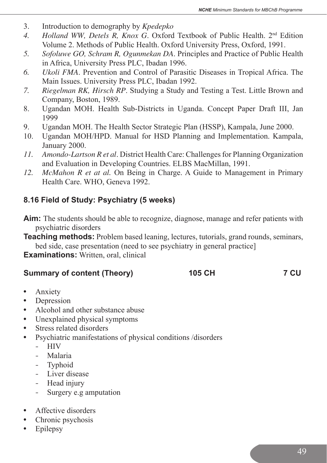- 3. Introduction to demography by *Kpedepko*
- *4. Holland WW, Detels R, Knox G*. Oxford Textbook of Public Health. 2nd Edition Volume 2. Methods of Public Health. Oxford University Press, Oxford, 1991.
- *5. Sofoluwe GO, Schram R, Ogunmekan DA*. Principles and Practice of Public Health in Africa, University Press PLC, Ibadan 1996.
- *6. Ukoli FMA*. Prevention and Control of Parasitic Diseases in Tropical Africa. The Main Issues. University Press PLC, Ibadan 1992.
- *7. Riegelman RK, Hirsch RP*. Studying a Study and Testing a Test. Little Brown and Company, Boston, 1989.
- 8. Ugandan MOH. Health Sub-Districts in Uganda. Concept Paper Draft III, Jan 1999
- 9. Ugandan MOH. The Health Sector Strategic Plan (HSSP), Kampala, June 2000.
- 10. Ugandan MOH/HPD. Manual for HSD Planning and Implementation. Kampala, January 2000.
- 11. *Amondo-Lartson R et al.* District Health Care: Challenges for Planning Organization and Evaluation in Developing Countries. ELBS MacMillan, 1991.
- *12. McMahon R et at al.* On Being in Charge. A Guide to Management in Primary Health Care. WHO, Geneva 1992.

# **8.16 Field of Study: Psychiatry (5 weeks)**

- **Aim:** The students should be able to recognize, diagnose, manage and refer patients with psychiatric disorders
- **Teaching methods:** Problem based leaning, lectures, tutorials, grand rounds, seminars, bed side, case presentation (need to see psychiatry in general practice]

**Examinations:** Written, oral, clinical

#### **Summary of content (Theory) 105 CH 7 CU**

- **•** Anxiety
- **•** Depression
- **•** Alcohol and other substance abuse
- **•** Unexplained physical symptoms
- **•** Stress related disorders
- **•** Psychiatric manifestations of physical conditions /disorders
	- - HIV
	- - Malaria
	- Typhoid
	- Liver disease
	- Head injury
	- Surgery e.g amputation
- **•** Affective disorders
- **•** Chronic psychosis
- **•** Epilepsy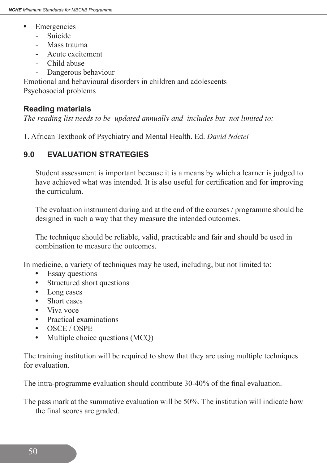- **•** Emergencies
	- - Suicide
	- Mass trauma
	- - Acute excitement
	- Child abuse
	- Dangerous behaviour

Emotional and behavioural disorders in children and adolescents Psychosocial problems

## **Reading materials**

*The reading list needs to be updated annually and includes but not limited to:*

1. African Textbook of Psychiatry and Mental Health. Ed. *David Ndetei*

# **9.0 EVALUATION STRATEGIES**

 Student assessment is important because it is a means by which a learner is judged to have achieved what was intended. It is also useful for certification and for improving the curriculum.

 The evaluation instrument during and at the end of the courses / programme should be designed in such a way that they measure the intended outcomes.

 The technique should be reliable, valid, practicable and fair and should be used in combination to measure the outcomes.

In medicine, a variety of techniques may be used, including, but not limited to:

- **•** Essay questions
- **•** Structured short questions
- **•** Long cases
- **•** Short cases
- **•** Viva voce
- **•** Practical examinations
- **•** OSCE / OSPE
- Multiple choice questions (MCQ)

The training institution will be required to show that they are using multiple techniques for evaluation.

The intra-programme evaluation should contribute 30-40% of the final evaluation.

The pass mark at the summative evaluation will be 50%. The institution will indicate how the final scores are graded.